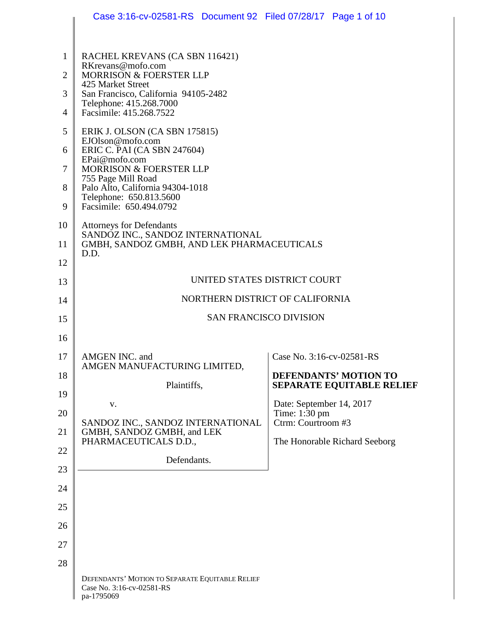|                | Case 3:16-cv-02581-RS Document 92 Filed 07/28/17 Page 1 of 10                              |                                           |
|----------------|--------------------------------------------------------------------------------------------|-------------------------------------------|
|                |                                                                                            |                                           |
| 1              | RACHEL KREVANS (CA SBN 116421)<br>RKrevans@mofo.com                                        |                                           |
| $\overline{2}$ | MORRISON & FOERSTER LLP<br>425 Market Street                                               |                                           |
| 3              | San Francisco, California 94105-2482<br>Telephone: 415.268.7000                            |                                           |
| $\overline{4}$ | Facsimile: 415.268.7522                                                                    |                                           |
| 5              | ERIK J. OLSON (CA SBN 175815)<br>EJOlson@mofo.com                                          |                                           |
| 6              | ERIC C. PAI (CA SBN 247604)<br>EPai@mofo.com                                               |                                           |
| 7              | MORRISON & FOERSTER LLP                                                                    |                                           |
| 8              | 755 Page Mill Road<br>Palo Alto, California 94304-1018                                     |                                           |
| 9              | Telephone: 650.813.5600<br>Facsimile: 650.494.0792                                         |                                           |
| 10             | <b>Attorneys for Defendants</b>                                                            |                                           |
| 11             | SANDOZ INC., SANDOZ INTERNATIONAL<br>GMBH, SANDOZ GMBH, AND LEK PHARMACEUTICALS            |                                           |
| 12             | D.D.                                                                                       |                                           |
| 13             | UNITED STATES DISTRICT COURT                                                               |                                           |
| 14             | NORTHERN DISTRICT OF CALIFORNIA                                                            |                                           |
| 15             | <b>SAN FRANCISCO DIVISION</b>                                                              |                                           |
| 16             |                                                                                            |                                           |
| 17             | AMGEN INC. and                                                                             | Case No. 3:16-cv-02581-RS                 |
| 18             | AMGEN MANUFACTURING LIMITED,                                                               | <b>DEFENDANTS' MOTION TO</b>              |
| 19             | Plaintiffs,                                                                                | <b>SEPARATE EQUITABLE RELIEF</b>          |
| 20             | V.                                                                                         | Date: September 14, 2017<br>Time: 1:30 pm |
| 21             | SANDOZ INC., SANDOZ INTERNATIONAL<br>GMBH, SANDOZ GMBH, and LEK                            | Ctrm: Courtroom #3                        |
| 22             | PHARMACEUTICALS D.D.,                                                                      | The Honorable Richard Seeborg             |
| 23             | Defendants.                                                                                |                                           |
| 24             |                                                                                            |                                           |
| 25             |                                                                                            |                                           |
| 26             |                                                                                            |                                           |
| 27             |                                                                                            |                                           |
| 28             |                                                                                            |                                           |
|                | DEFENDANTS' MOTION TO SEPARATE EQUITABLE RELIEF<br>Case No. 3:16-cv-02581-RS<br>pa-1795069 |                                           |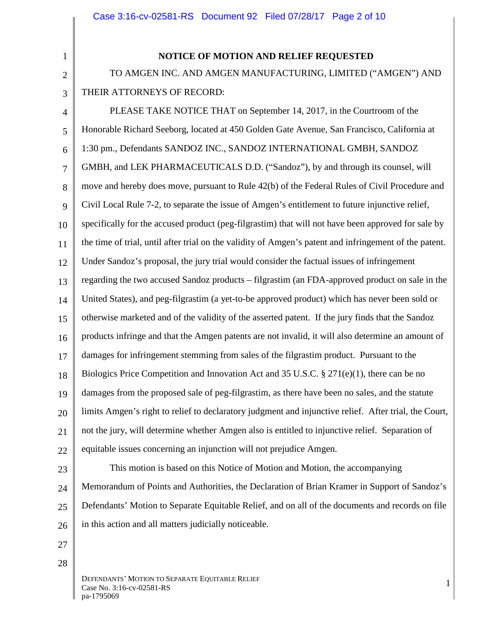1 2

3

# **NOTICE OF MOTION AND RELIEF REQUESTED**

TO AMGEN INC. AND AMGEN MANUFACTURING, LIMITED ("AMGEN") AND THEIR ATTORNEYS OF RECORD:

4 5 6 7 8 9 10 11 12 13 14 15 16 17 18 19 20 21 22 PLEASE TAKE NOTICE THAT on September 14, 2017, in the Courtroom of the Honorable Richard Seeborg, located at 450 Golden Gate Avenue, San Francisco, California at 1:30 pm., Defendants SANDOZ INC., SANDOZ INTERNATIONAL GMBH, SANDOZ GMBH, and LEK PHARMACEUTICALS D.D. ("Sandoz"), by and through its counsel, will move and hereby does move, pursuant to Rule 42(b) of the Federal Rules of Civil Procedure and Civil Local Rule 7-2, to separate the issue of Amgen's entitlement to future injunctive relief, specifically for the accused product (peg-filgrastim) that will not have been approved for sale by the time of trial, until after trial on the validity of Amgen's patent and infringement of the patent. Under Sandoz's proposal, the jury trial would consider the factual issues of infringement regarding the two accused Sandoz products – filgrastim (an FDA-approved product on sale in the United States), and peg-filgrastim (a yet-to-be approved product) which has never been sold or otherwise marketed and of the validity of the asserted patent. If the jury finds that the Sandoz products infringe and that the Amgen patents are not invalid, it will also determine an amount of damages for infringement stemming from sales of the filgrastim product. Pursuant to the Biologics Price Competition and Innovation Act and 35 U.S.C. § 271(e)(1), there can be no damages from the proposed sale of peg-filgrastim, as there have been no sales, and the statute limits Amgen's right to relief to declaratory judgment and injunctive relief. After trial, the Court, not the jury, will determine whether Amgen also is entitled to injunctive relief. Separation of equitable issues concerning an injunction will not prejudice Amgen.

23

24 25 26 This motion is based on this Notice of Motion and Motion, the accompanying Memorandum of Points and Authorities, the Declaration of Brian Kramer in Support of Sandoz's Defendants' Motion to Separate Equitable Relief, and on all of the documents and records on file in this action and all matters judicially noticeable.

- 
- 27 28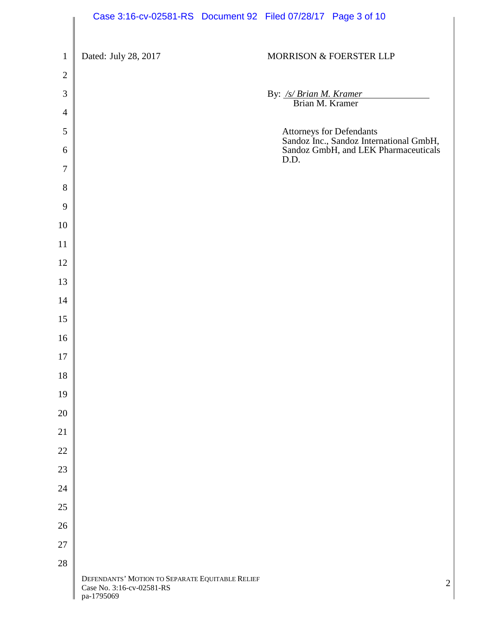|                | Case 3:16-cv-02581-RS Document 92 Filed 07/28/17 Page 3 of 10                              |                                            |                                                                                                             |
|----------------|--------------------------------------------------------------------------------------------|--------------------------------------------|-------------------------------------------------------------------------------------------------------------|
| $\mathbf{1}$   | Dated: July 28, 2017                                                                       |                                            | MORRISON & FOERSTER LLP                                                                                     |
| $\overline{2}$ |                                                                                            |                                            |                                                                                                             |
| 3              |                                                                                            | By: /s/ Brian M. Kramer<br>Brian M. Kramer |                                                                                                             |
| $\overline{4}$ |                                                                                            |                                            |                                                                                                             |
| 5<br>6         |                                                                                            |                                            | Attorneys for Defendants<br>Sandoz Inc., Sandoz International GmbH,<br>Sandoz GmbH, and LEK Pharmaceuticals |
| $\overline{7}$ |                                                                                            | D.D.                                       |                                                                                                             |
| 8              |                                                                                            |                                            |                                                                                                             |
| 9              |                                                                                            |                                            |                                                                                                             |
| 10             |                                                                                            |                                            |                                                                                                             |
| 11             |                                                                                            |                                            |                                                                                                             |
| 12             |                                                                                            |                                            |                                                                                                             |
| 13             |                                                                                            |                                            |                                                                                                             |
| 14             |                                                                                            |                                            |                                                                                                             |
| 15             |                                                                                            |                                            |                                                                                                             |
| 16             |                                                                                            |                                            |                                                                                                             |
| 17             |                                                                                            |                                            |                                                                                                             |
| $18\,$         |                                                                                            |                                            |                                                                                                             |
| 19             |                                                                                            |                                            |                                                                                                             |
| $20\,$         |                                                                                            |                                            |                                                                                                             |
| 21             |                                                                                            |                                            |                                                                                                             |
| $22\,$         |                                                                                            |                                            |                                                                                                             |
| 23             |                                                                                            |                                            |                                                                                                             |
| 24             |                                                                                            |                                            |                                                                                                             |
| 25             |                                                                                            |                                            |                                                                                                             |
| 26             |                                                                                            |                                            |                                                                                                             |
| 27             |                                                                                            |                                            |                                                                                                             |
| 28             |                                                                                            |                                            |                                                                                                             |
|                | DEFENDANTS' MOTION TO SEPARATE EQUITABLE RELIEF<br>Case No. 3:16-cv-02581-RS<br>pa-1795069 |                                            | $\overline{2}$                                                                                              |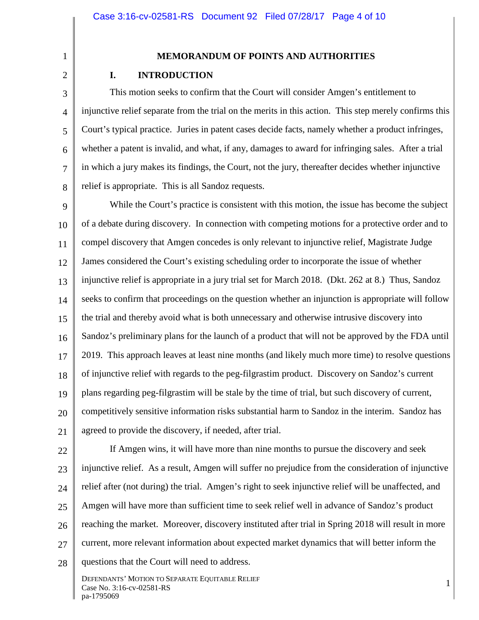1 2

3

4

5

6

7

8

pa-1795069

# **MEMORANDUM OF POINTS AND AUTHORITIES**

# **I. INTRODUCTION**

This motion seeks to confirm that the Court will consider Amgen's entitlement to injunctive relief separate from the trial on the merits in this action. This step merely confirms this Court's typical practice. Juries in patent cases decide facts, namely whether a product infringes, whether a patent is invalid, and what, if any, damages to award for infringing sales. After a trial in which a jury makes its findings, the Court, not the jury, thereafter decides whether injunctive relief is appropriate. This is all Sandoz requests.

9 10 11 12 13 14 15 16 17 18 19 20 21 While the Court's practice is consistent with this motion, the issue has become the subject of a debate during discovery. In connection with competing motions for a protective order and to compel discovery that Amgen concedes is only relevant to injunctive relief, Magistrate Judge James considered the Court's existing scheduling order to incorporate the issue of whether injunctive relief is appropriate in a jury trial set for March 2018. (Dkt. 262 at 8.) Thus, Sandoz seeks to confirm that proceedings on the question whether an injunction is appropriate will follow the trial and thereby avoid what is both unnecessary and otherwise intrusive discovery into Sandoz's preliminary plans for the launch of a product that will not be approved by the FDA until 2019. This approach leaves at least nine months (and likely much more time) to resolve questions of injunctive relief with regards to the peg-filgrastim product. Discovery on Sandoz's current plans regarding peg-filgrastim will be stale by the time of trial, but such discovery of current, competitively sensitive information risks substantial harm to Sandoz in the interim. Sandoz has agreed to provide the discovery, if needed, after trial.

22 23 24 25 26 27 28 DEFENDANTS' MOTION TO SEPARATE EQUITABLE RELIEF DETENDANTS MOTION TO SEFARATE EQUITABLE REEFF<br>Case No. 3:16-cv-02581-RS 1 If Amgen wins, it will have more than nine months to pursue the discovery and seek injunctive relief. As a result, Amgen will suffer no prejudice from the consideration of injunctive relief after (not during) the trial. Amgen's right to seek injunctive relief will be unaffected, and Amgen will have more than sufficient time to seek relief well in advance of Sandoz's product reaching the market. Moreover, discovery instituted after trial in Spring 2018 will result in more current, more relevant information about expected market dynamics that will better inform the questions that the Court will need to address.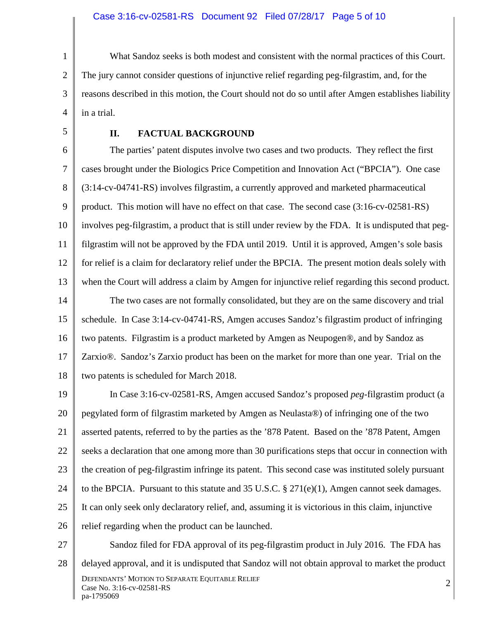1 2 3 4 What Sandoz seeks is both modest and consistent with the normal practices of this Court. The jury cannot consider questions of injunctive relief regarding peg-filgrastim, and, for the reasons described in this motion, the Court should not do so until after Amgen establishes liability in a trial.

5

#### **II. FACTUAL BACKGROUND**

6 7 8 9 10 11 12 13 14 15 16 17 18 The parties' patent disputes involve two cases and two products. They reflect the first cases brought under the Biologics Price Competition and Innovation Act ("BPCIA"). One case (3:14-cv-04741-RS) involves filgrastim, a currently approved and marketed pharmaceutical product. This motion will have no effect on that case. The second case (3:16-cv-02581-RS) involves peg-filgrastim, a product that is still under review by the FDA. It is undisputed that pegfilgrastim will not be approved by the FDA until 2019. Until it is approved, Amgen's sole basis for relief is a claim for declaratory relief under the BPCIA. The present motion deals solely with when the Court will address a claim by Amgen for injunctive relief regarding this second product. The two cases are not formally consolidated, but they are on the same discovery and trial schedule. In Case 3:14-cv-04741-RS, Amgen accuses Sandoz's filgrastim product of infringing two patents. Filgrastim is a product marketed by Amgen as Neupogen®, and by Sandoz as Zarxio®. Sandoz's Zarxio product has been on the market for more than one year. Trial on the two patents is scheduled for March 2018.

19 20 21 22 23 24 25 26 In Case 3:16-cv-02581-RS, Amgen accused Sandoz's proposed *peg-*filgrastim product (a pegylated form of filgrastim marketed by Amgen as Neulasta®) of infringing one of the two asserted patents, referred to by the parties as the '878 Patent. Based on the '878 Patent, Amgen seeks a declaration that one among more than 30 purifications steps that occur in connection with the creation of peg-filgrastim infringe its patent. This second case was instituted solely pursuant to the BPCIA. Pursuant to this statute and 35 U.S.C.  $\S 271(e)(1)$ , Amgen cannot seek damages. It can only seek only declaratory relief, and, assuming it is victorious in this claim, injunctive relief regarding when the product can be launched.

27

28 DEFENDANTS' MOTION TO SEPARATE EQUITABLE RELIEF DEFENDANTS MOTION TO SEPARATE EQUITABLE RELIEF<br>Case No. 3:16-cv-02581-RS 2 pa-1795069 Sandoz filed for FDA approval of its peg-filgrastim product in July 2016. The FDA has delayed approval, and it is undisputed that Sandoz will not obtain approval to market the product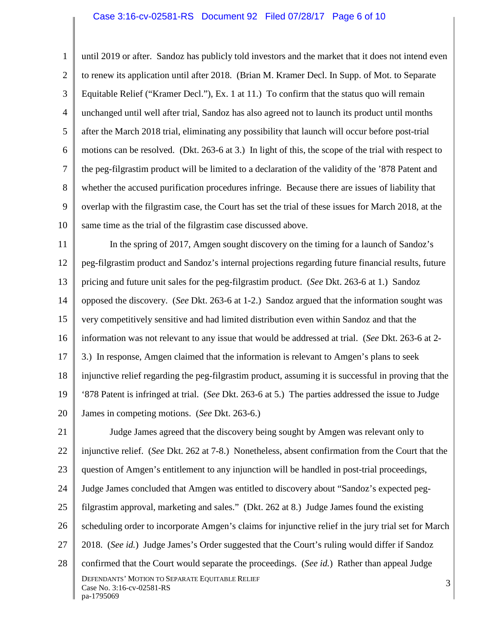#### Case 3:16-cv-02581-RS Document 92 Filed 07/28/17 Page 6 of 10

1 2 3 4 5 6 7 8 9 10 until 2019 or after. Sandoz has publicly told investors and the market that it does not intend even to renew its application until after 2018. (Brian M. Kramer Decl. In Supp. of Mot. to Separate Equitable Relief ("Kramer Decl."), Ex. 1 at 11.) To confirm that the status quo will remain unchanged until well after trial, Sandoz has also agreed not to launch its product until months after the March 2018 trial, eliminating any possibility that launch will occur before post-trial motions can be resolved. (Dkt. 263-6 at 3.) In light of this, the scope of the trial with respect to the peg-filgrastim product will be limited to a declaration of the validity of the '878 Patent and whether the accused purification procedures infringe. Because there are issues of liability that overlap with the filgrastim case, the Court has set the trial of these issues for March 2018, at the same time as the trial of the filgrastim case discussed above.

11 12 13 14 15 16 17 18 19 20 In the spring of 2017, Amgen sought discovery on the timing for a launch of Sandoz's peg-filgrastim product and Sandoz's internal projections regarding future financial results, future pricing and future unit sales for the peg-filgrastim product. (*See* Dkt. 263-6 at 1.) Sandoz opposed the discovery. (*See* Dkt. 263-6 at 1-2.) Sandoz argued that the information sought was very competitively sensitive and had limited distribution even within Sandoz and that the information was not relevant to any issue that would be addressed at trial. (*See* Dkt. 263-6 at 2- 3.) In response, Amgen claimed that the information is relevant to Amgen's plans to seek injunctive relief regarding the peg-filgrastim product, assuming it is successful in proving that the '878 Patent is infringed at trial. (*See* Dkt. 263-6 at 5.) The parties addressed the issue to Judge James in competing motions. (*See* Dkt. 263-6.)

21 22 23 24 25 26 27 28 DEFENDANTS' MOTION TO SEPARATE EQUITABLE RELIEF DETENDANTS MOTION TO SEFARATE EQUITABLE RELIEF<br>Case No. 3:16-cv-02581-RS 3 pa-1795069 Judge James agreed that the discovery being sought by Amgen was relevant only to injunctive relief. (*See* Dkt. 262 at 7-8.) Nonetheless, absent confirmation from the Court that the question of Amgen's entitlement to any injunction will be handled in post-trial proceedings, Judge James concluded that Amgen was entitled to discovery about "Sandoz's expected pegfilgrastim approval, marketing and sales." (Dkt. 262 at 8.) Judge James found the existing scheduling order to incorporate Amgen's claims for injunctive relief in the jury trial set for March 2018. (*See id.*) Judge James's Order suggested that the Court's ruling would differ if Sandoz confirmed that the Court would separate the proceedings. (*See id.*) Rather than appeal Judge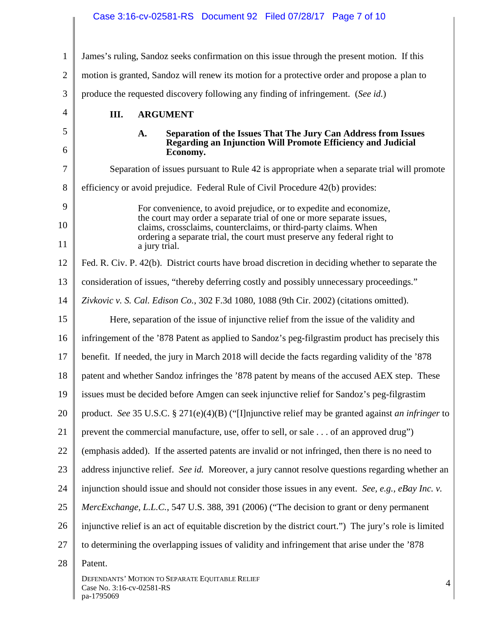| $\mathbf{1}$   | James's ruling, Sandoz seeks confirmation on this issue through the present motion. If this                                             |
|----------------|-----------------------------------------------------------------------------------------------------------------------------------------|
| $\overline{2}$ | motion is granted, Sandoz will renew its motion for a protective order and propose a plan to                                            |
| 3              | produce the requested discovery following any finding of infringement. (See id.)                                                        |
| 4              | III.<br><b>ARGUMENT</b>                                                                                                                 |
| 5              | Separation of the Issues That The Jury Can Address from Issues<br>A.                                                                    |
| 6              | Regarding an Injunction Will Promote Efficiency and Judicial<br>Economy.                                                                |
| $\tau$         | Separation of issues pursuant to Rule 42 is appropriate when a separate trial will promote                                              |
| 8              | efficiency or avoid prejudice. Federal Rule of Civil Procedure 42(b) provides:                                                          |
| 9              | For convenience, to avoid prejudice, or to expedite and economize,                                                                      |
| 10             | the court may order a separate trial of one or more separate issues,<br>claims, crossclaims, counterclaims, or third-party claims. When |
| 11             | ordering a separate trial, the court must preserve any federal right to<br>a jury trial.                                                |
| 12             | Fed. R. Civ. P. 42(b). District courts have broad discretion in deciding whether to separate the                                        |
| 13             | consideration of issues, "thereby deferring costly and possibly unnecessary proceedings."                                               |
| 14             | Zivkovic v. S. Cal. Edison Co., 302 F.3d 1080, 1088 (9th Cir. 2002) (citations omitted).                                                |
| 15             | Here, separation of the issue of injunctive relief from the issue of the validity and                                                   |
| 16             | infringement of the '878 Patent as applied to Sandoz's peg-filgrastim product has precisely this                                        |
| 17             | benefit. If needed, the jury in March 2018 will decide the facts regarding validity of the '878                                         |
| 18             | patent and whether Sandoz infringes the '878 patent by means of the accused AEX step. These                                             |
| 19             | issues must be decided before Amgen can seek injunctive relief for Sandoz's peg-filgrastim                                              |
| 20             | product. See 35 U.S.C. § 271(e)(4)(B) ("[I]njunctive relief may be granted against an infringer to                                      |
| 21             | prevent the commercial manufacture, use, offer to sell, or sale of an approved drug")                                                   |
| 22             | (emphasis added). If the asserted patents are invalid or not infringed, then there is no need to                                        |
| 23             | address injunctive relief. See id. Moreover, a jury cannot resolve questions regarding whether an                                       |
| 24             | injunction should issue and should not consider those issues in any event. See, e.g., eBay Inc. v.                                      |
| 25             | <i>MercExchange, L.L.C., 547 U.S. 388, 391 (2006)</i> ("The decision to grant or deny permanent                                         |
| 26             | injunctive relief is an act of equitable discretion by the district court.") The jury's role is limited                                 |
| 27             | to determining the overlapping issues of validity and infringement that arise under the '878                                            |
| 28             | Patent.                                                                                                                                 |
|                | DEFENDANTS' MOTION TO SEPARATE EQUITABLE RELIEF<br>$\overline{4}$<br>Case No. 3:16-cv-02581-RS<br>pa-1795069                            |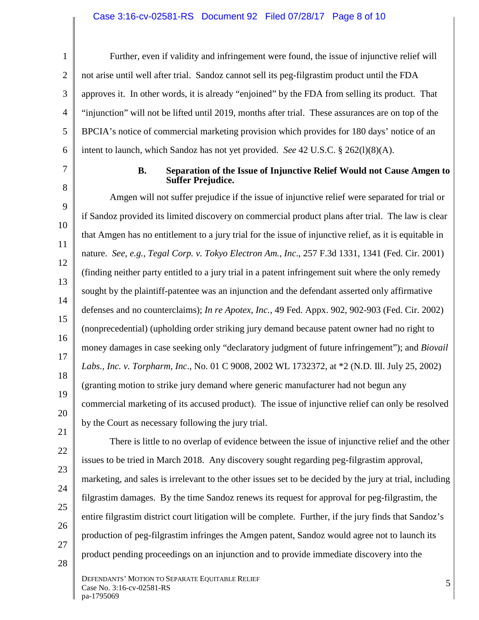#### Case 3:16-cv-02581-RS Document 92 Filed 07/28/17 Page 8 of 10

1 2 3 4 5 6 Further, even if validity and infringement were found, the issue of injunctive relief will not arise until well after trial. Sandoz cannot sell its peg-filgrastim product until the FDA approves it. In other words, it is already "enjoined" by the FDA from selling its product. That "injunction" will not be lifted until 2019, months after trial. These assurances are on top of the BPCIA's notice of commercial marketing provision which provides for 180 days' notice of an intent to launch, which Sandoz has not yet provided. *See* 42 U.S.C. § 262(l)(8)(A).

7

8

#### **B. Separation of the Issue of Injunctive Relief Would not Cause Amgen to Suffer Prejudice.**

9 10 11 12 13 14 15 16 17 18 19 20 Amgen will not suffer prejudice if the issue of injunctive relief were separated for trial or if Sandoz provided its limited discovery on commercial product plans after trial. The law is clear that Amgen has no entitlement to a jury trial for the issue of injunctive relief, as it is equitable in nature. *See, e.g., Tegal Corp. v. Tokyo Electron Am., Inc*., 257 F.3d 1331, 1341 (Fed. Cir. 2001) (finding neither party entitled to a jury trial in a patent infringement suit where the only remedy sought by the plaintiff-patentee was an injunction and the defendant asserted only affirmative defenses and no counterclaims); *In re Apotex, Inc.*, 49 Fed. Appx. 902, 902-903 (Fed. Cir. 2002) (nonprecedential) (upholding order striking jury demand because patent owner had no right to money damages in case seeking only "declaratory judgment of future infringement"); and *Biovail Labs., Inc. v. Torpharm, Inc*., No. 01 C 9008, 2002 WL 1732372, at \*2 (N.D. Ill. July 25, 2002) (granting motion to strike jury demand where generic manufacturer had not begun any commercial marketing of its accused product). The issue of injunctive relief can only be resolved by the Court as necessary following the jury trial.

- 21 22 23 24
- 25
- 26
- 27

28

issues to be tried in March 2018. Any discovery sought regarding peg-filgrastim approval, marketing, and sales is irrelevant to the other issues set to be decided by the jury at trial, including filgrastim damages. By the time Sandoz renews its request for approval for peg-filgrastim, the entire filgrastim district court litigation will be complete. Further, if the jury finds that Sandoz's production of peg-filgrastim infringes the Amgen patent, Sandoz would agree not to launch its product pending proceedings on an injunction and to provide immediate discovery into the

There is little to no overlap of evidence between the issue of injunctive relief and the other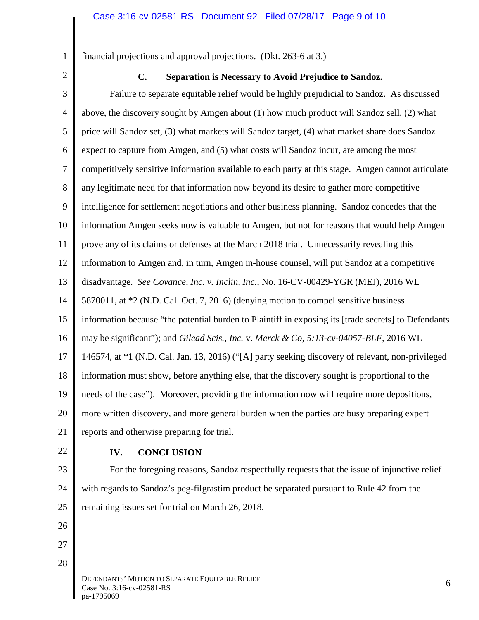financial projections and approval projections. (Dkt. 263-6 at 3.)

2

1

#### **C. Separation is Necessary to Avoid Prejudice to Sandoz.**

3 4 5 6 7 8 9 10 11 12 13 14 15 16 17 18 19 20 21 Failure to separate equitable relief would be highly prejudicial to Sandoz. As discussed above, the discovery sought by Amgen about (1) how much product will Sandoz sell, (2) what price will Sandoz set, (3) what markets will Sandoz target, (4) what market share does Sandoz expect to capture from Amgen, and (5) what costs will Sandoz incur, are among the most competitively sensitive information available to each party at this stage. Amgen cannot articulate any legitimate need for that information now beyond its desire to gather more competitive intelligence for settlement negotiations and other business planning. Sandoz concedes that the information Amgen seeks now is valuable to Amgen, but not for reasons that would help Amgen prove any of its claims or defenses at the March 2018 trial. Unnecessarily revealing this information to Amgen and, in turn, Amgen in-house counsel, will put Sandoz at a competitive disadvantage. *See Covance, Inc. v. Inclin, Inc.*, No. 16-CV-00429-YGR (MEJ), 2016 WL 5870011, at \*2 (N.D. Cal. Oct. 7, 2016) (denying motion to compel sensitive business information because "the potential burden to Plaintiff in exposing its [trade secrets] to Defendants may be significant"); and *Gilead Scis., Inc.* v. *Merck & Co, 5:13-cv-04057-BLF,* 2016 WL 146574, at \*1 (N.D. Cal. Jan. 13, 2016) ("[A] party seeking discovery of relevant, non-privileged information must show, before anything else, that the discovery sought is proportional to the needs of the case"). Moreover, providing the information now will require more depositions, more written discovery, and more general burden when the parties are busy preparing expert reports and otherwise preparing for trial.

22

#### **IV. CONCLUSION**

23 24 25 For the foregoing reasons, Sandoz respectfully requests that the issue of injunctive relief with regards to Sandoz's peg-filgrastim product be separated pursuant to Rule 42 from the remaining issues set for trial on March 26, 2018.

- 26
- 27 28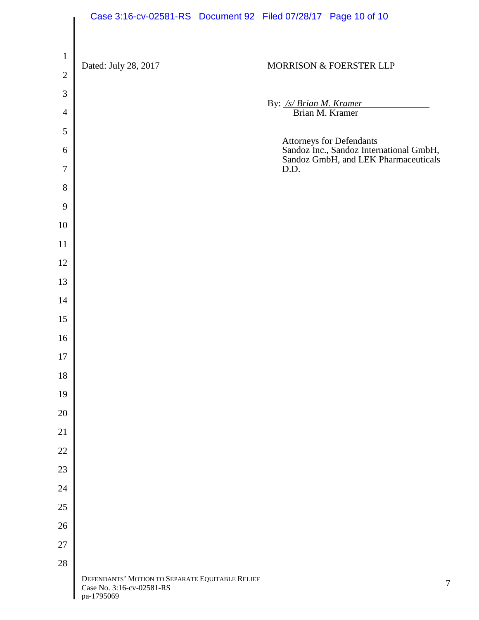|                               | Case 3:16-cv-02581-RS Document 92 Filed 07/28/17 Page 10 of 10                             |                                            |                                                                                                             |
|-------------------------------|--------------------------------------------------------------------------------------------|--------------------------------------------|-------------------------------------------------------------------------------------------------------------|
| $\mathbf 1$<br>$\overline{2}$ | Dated: July 28, 2017                                                                       |                                            | MORRISON & FOERSTER LLP                                                                                     |
| $\mathfrak{Z}$                |                                                                                            |                                            |                                                                                                             |
| $\overline{4}$                |                                                                                            | By: /s/ Brian M. Kramer<br>Brian M. Kramer |                                                                                                             |
| 5                             |                                                                                            |                                            |                                                                                                             |
| 6                             |                                                                                            |                                            | Attorneys for Defendants<br>Sandoz Inc., Sandoz International GmbH,<br>Sandoz GmbH, and LEK Pharmaceuticals |
| $\overline{7}$                |                                                                                            | D.D.                                       |                                                                                                             |
| 8                             |                                                                                            |                                            |                                                                                                             |
| 9                             |                                                                                            |                                            |                                                                                                             |
| 10                            |                                                                                            |                                            |                                                                                                             |
| 11                            |                                                                                            |                                            |                                                                                                             |
| 12                            |                                                                                            |                                            |                                                                                                             |
| 13                            |                                                                                            |                                            |                                                                                                             |
| 14                            |                                                                                            |                                            |                                                                                                             |
| 15                            |                                                                                            |                                            |                                                                                                             |
| 16                            |                                                                                            |                                            |                                                                                                             |
| $17\,$                        |                                                                                            |                                            |                                                                                                             |
| $18\,$                        |                                                                                            |                                            |                                                                                                             |
| 19                            |                                                                                            |                                            |                                                                                                             |
| $20\,$                        |                                                                                            |                                            |                                                                                                             |
| 21                            |                                                                                            |                                            |                                                                                                             |
| $22\,$                        |                                                                                            |                                            |                                                                                                             |
| 23                            |                                                                                            |                                            |                                                                                                             |
| 24<br>25                      |                                                                                            |                                            |                                                                                                             |
| 26                            |                                                                                            |                                            |                                                                                                             |
| $27\,$                        |                                                                                            |                                            |                                                                                                             |
| 28                            |                                                                                            |                                            |                                                                                                             |
|                               | DEFENDANTS' MOTION TO SEPARATE EQUITABLE RELIEF<br>Case No. 3:16-cv-02581-RS<br>pa-1795069 |                                            | 7                                                                                                           |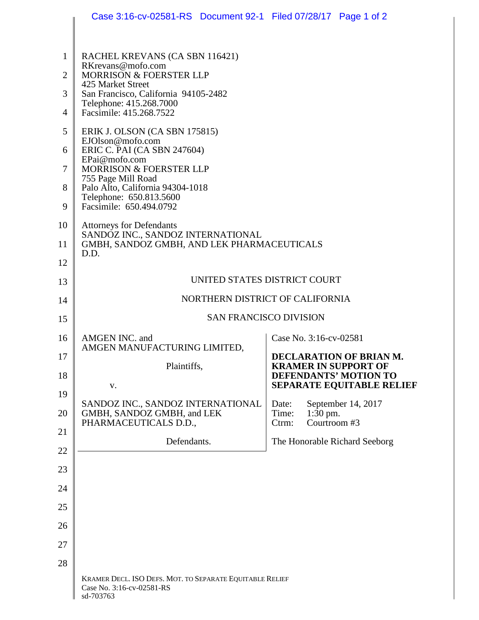|                | Case 3:16-cv-02581-RS  Document 92-1  Filed 07/28/17  Page 1 of 2                                  |                                                           |
|----------------|----------------------------------------------------------------------------------------------------|-----------------------------------------------------------|
|                |                                                                                                    |                                                           |
| 1              | RACHEL KREVANS (CA SBN 116421)<br>RKrevans@mofo.com                                                |                                                           |
| $\overline{2}$ | <b>MORRISON &amp; FOERSTER LLP</b><br>425 Market Street                                            |                                                           |
| 3              | San Francisco, California 94105-2482<br>Telephone: 415.268.7000                                    |                                                           |
| 4              | Facsimile: 415.268.7522                                                                            |                                                           |
| 5              | ERIK J. OLSON (CA SBN 175815)<br>EJOlson@mofo.com                                                  |                                                           |
| 6              | ERIC C. PAI (CA SBN 247604)<br>EPai@mofo.com                                                       |                                                           |
| 7              | MORRISON & FOERSTER LLP                                                                            |                                                           |
| 8              | 755 Page Mill Road<br>Palo Alto, California 94304-1018                                             |                                                           |
| 9              | Telephone: 650.813.5600<br>Facsimile: 650.494.0792                                                 |                                                           |
| 10             | <b>Attorneys for Defendants</b>                                                                    |                                                           |
| 11             | SANDOZ INC., SANDOZ INTERNATIONAL<br>GMBH, SANDOZ GMBH, AND LEK PHARMACEUTICALS                    |                                                           |
| 12             | D.D.                                                                                               |                                                           |
| 13             | UNITED STATES DISTRICT COURT                                                                       |                                                           |
| 14             | NORTHERN DISTRICT OF CALIFORNIA                                                                    |                                                           |
| 15             | <b>SAN FRANCISCO DIVISION</b>                                                                      |                                                           |
| 16             | AMGEN INC. and<br>AMGEN MANUFACTURING LIMITED,                                                     | Case No. 3:16-cv-02581                                    |
| 17             | Plaintiffs,                                                                                        | DECLARATION OF BRIAN M.<br><b>KRAMER IN SUPPORT OF</b>    |
| 18             | V.                                                                                                 | DEFENDANTS' MOTION TO<br><b>SEPARATE EQUITABLE RELIEF</b> |
| 19             | SANDOZ INC., SANDOZ INTERNATIONAL                                                                  | September 14, 2017<br>Date:                               |
| 20             | GMBH, SANDOZ GMBH, and LEK<br>PHARMACEUTICALS D.D.,                                                | $1:30$ pm.<br>Time:<br>Courtroom #3<br>Ctrm:              |
| 21             | Defendants.                                                                                        | The Honorable Richard Seeborg                             |
| 22             |                                                                                                    |                                                           |
| 23             |                                                                                                    |                                                           |
| 24             |                                                                                                    |                                                           |
| 25             |                                                                                                    |                                                           |
| 26             |                                                                                                    |                                                           |
| 27             |                                                                                                    |                                                           |
| 28             |                                                                                                    |                                                           |
|                | KRAMER DECL. ISO DEFS. MOT. TO SEPARATE EQUITABLE RELIEF<br>Case No. 3:16-cv-02581-RS<br>sd-703763 |                                                           |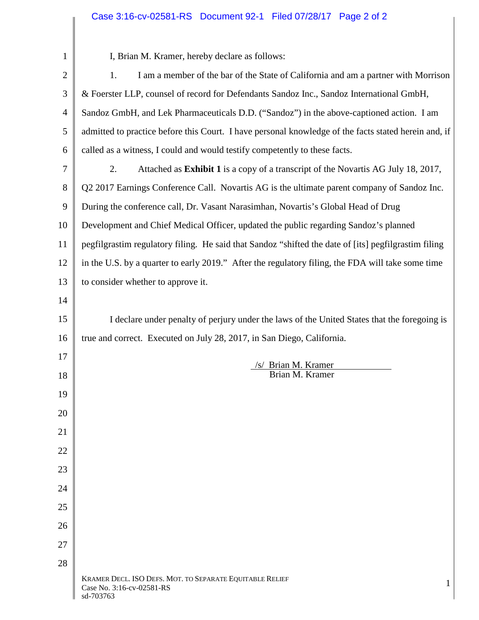# Case 3:16-cv-02581-RS Document 92-1 Filed 07/28/17 Page 2 of 2

| $\mathbf{1}$   | I, Brian M. Kramer, hereby declare as follows:                                                          |
|----------------|---------------------------------------------------------------------------------------------------------|
| $\overline{2}$ | I am a member of the bar of the State of California and am a partner with Morrison<br>1.                |
| 3              | & Foerster LLP, counsel of record for Defendants Sandoz Inc., Sandoz International GmbH,                |
| $\overline{4}$ | Sandoz GmbH, and Lek Pharmaceuticals D.D. ("Sandoz") in the above-captioned action. I am                |
| 5              | admitted to practice before this Court. I have personal knowledge of the facts stated herein and, if    |
| 6              | called as a witness, I could and would testify competently to these facts.                              |
| 7              | Attached as <b>Exhibit 1</b> is a copy of a transcript of the Novartis AG July 18, 2017,<br>2.          |
| 8              | Q2 2017 Earnings Conference Call. Novartis AG is the ultimate parent company of Sandoz Inc.             |
| 9              | During the conference call, Dr. Vasant Narasimhan, Novartis's Global Head of Drug                       |
| 10             | Development and Chief Medical Officer, updated the public regarding Sandoz's planned                    |
| 11             | pegfilgrastim regulatory filing. He said that Sandoz "shifted the date of [its] pegfilgrastim filing    |
| 12             | in the U.S. by a quarter to early 2019." After the regulatory filing, the FDA will take some time       |
| 13             | to consider whether to approve it.                                                                      |
| 14             |                                                                                                         |
| 15             | I declare under penalty of perjury under the laws of the United States that the foregoing is            |
| 16             | true and correct. Executed on July 28, 2017, in San Diego, California.                                  |
| 17             | /s/ Brian M. Kramer                                                                                     |
| 18             | Brian M. Kramer                                                                                         |
| 19             |                                                                                                         |
| 20             |                                                                                                         |
| 21             |                                                                                                         |
| 22             |                                                                                                         |
| 23             |                                                                                                         |
| 24             |                                                                                                         |
| 25             |                                                                                                         |
| 26             |                                                                                                         |
| 27             |                                                                                                         |
| 28             |                                                                                                         |
|                | KRAMER DECL. ISO DEFS. MOT. TO SEPARATE EQUITABLE RELIEF<br>1<br>Case No. 3:16-cv-02581-RS<br>sd-703763 |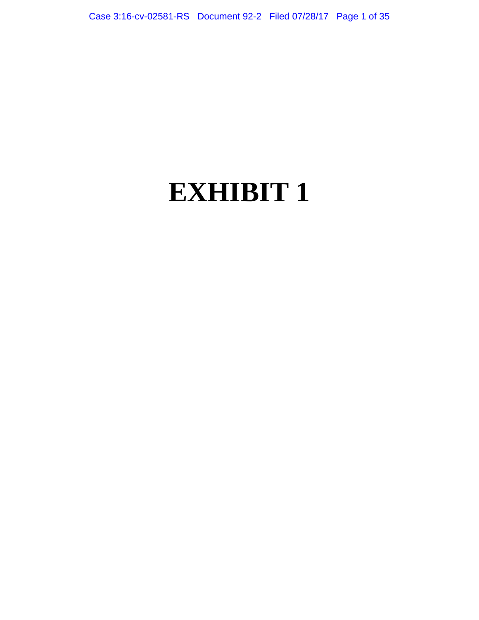# **EXHIBIT 1**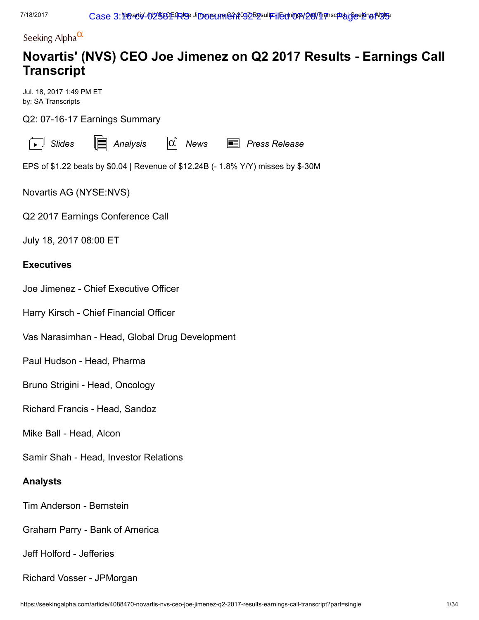Seeking Alpha $^\alpha$ 

# Novartis' (NVS) CEO Joe Jimenez on Q2 2017 Results - Earnings Call **Transcript**

Jul. 18, 2017 1:49 PM ET by: SA Transcripts

Q2: 07-16-17 Earnings Summary

|  | c<br>ude: |
|--|-----------|
|--|-----------|

s  $\begin{array}{ll}\mathbb{\equiv} & \mathsf{Analysis} \ \end{array}$  $\begin{array}{ll}\mathbb{\equiv} & \mathsf{Analysis} \ \end{array}$  $\begin{array}{ll}\mathbb{\equiv} & \mathsf{Analysis} \ \end{array}$   $\begin{array}{ll}\hline\mathbb{\alpha}\end{array}$  [News](https://seekingalpha.com/symbol/NVS/earnings)  $\begin{array}{ll}\mathbb{\equiv} & \mathsf{Press}\ \mathsf{Release}\end{array}$  $\begin{array}{ll}\mathbb{\equiv} & \mathsf{Press}\ \mathsf{Release}\end{array}$  $\begin{array}{ll}\mathbb{\equiv} & \mathsf{Press}\ \mathsf{Release}\end{array}$ 

EPS of \$1.22 beats by \$0.04 | Revenue of \$12.24B (- 1.8% Y/Y) misses by \$-30M

Novartis AG (NYSE[:NVS\)](https://seekingalpha.com/symbol/NVS)

Q2 2017 Earnings Conference Call

July 18, 2017 08:00 ET

# **Executives**

Joe Jimenez - Chief Executive Officer

Harry Kirsch - Chief Financial Officer

Vas Narasimhan - Head, Global Drug Development

Paul Hudson - Head, Pharma

Bruno Strigini - Head, Oncology

Richard Francis - Head, Sandoz

Mike Ball - Head, Alcon

Samir Shah - Head, Investor Relations

# Analysts

Tim Anderson - Bernstein

Graham Parry - Bank of America

Jeff Holford - Jefferies

Richard Vosser - JPMorgan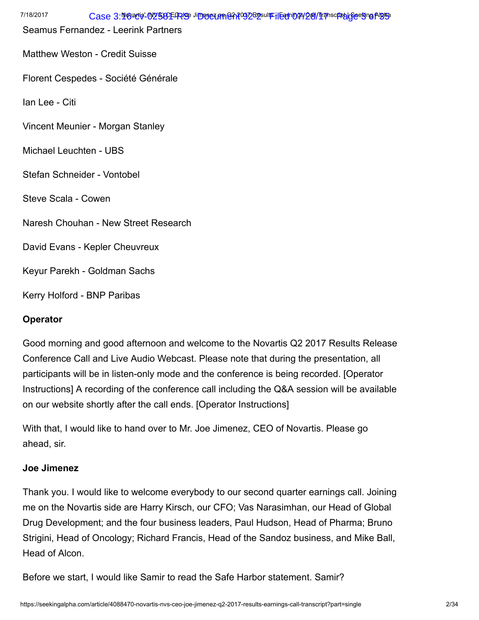| 7/18/2017                   | Case 3:109act9-012583E4RIOBJiDB062.0m@212092B9sultFilEadni009/281/TranscriptalGeel9ng AlgIG9 |
|-----------------------------|----------------------------------------------------------------------------------------------|
|                             | Seamus Fernandez - Leerink Partners                                                          |
|                             | <b>Matthew Weston - Credit Suisse</b>                                                        |
|                             | Florent Cespedes - Société Générale                                                          |
| Ian Lee - Citi              |                                                                                              |
|                             | Vincent Meunier - Morgan Stanley                                                             |
| Michael Leuchten - UBS      |                                                                                              |
| Stefan Schneider - Vontobel |                                                                                              |
| Steve Scala - Cowen         |                                                                                              |
|                             | Naresh Chouhan - New Street Research                                                         |
|                             | David Evans - Kepler Cheuvreux                                                               |
|                             | Keyur Parekh - Goldman Sachs                                                                 |
| Kerry Holford - BNP Paribas |                                                                                              |
| Operator                    |                                                                                              |

Good morning and good afternoon and welcome to the Novartis Q2 2017 Results Release Conference Call and Live Audio Webcast. Please note that during the presentation, all participants will be in listen-only mode and the conference is being recorded. [Operator Instructions] A recording of the conference call including the Q&A session will be available on our website shortly after the call ends. [Operator Instructions]

With that, I would like to hand over to Mr. Joe Jimenez, CEO of Novartis. Please go ahead, sir.

# Joe Jimenez

Thank you. I would like to welcome everybody to our second quarter earnings call. Joining me on the Novartis side are Harry Kirsch, our CFO; Vas Narasimhan, our Head of Global Drug Development; and the four business leaders, Paul Hudson, Head of Pharma; Bruno Strigini, Head of Oncology; Richard Francis, Head of the Sandoz business, and Mike Ball, Head of Alcon.

Before we start, I would like Samir to read the Safe Harbor statement. Samir?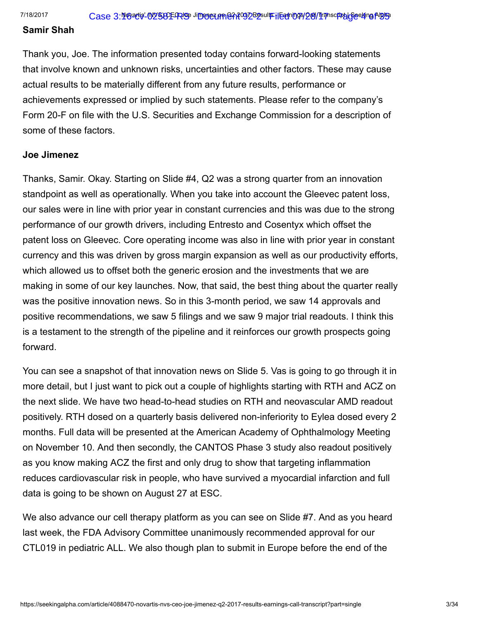#### Samir Shah

Thank you, Joe. The information presented today contains forward-looking statements that involve known and unknown risks, uncertainties and other factors. These may cause actual results to be materially different from any future results, performance or achievements expressed or implied by such statements. Please refer to the company's Form 20-F on file with the U.S. Securities and Exchange Commission for a description of some of these factors.

#### Joe Jimenez

Thanks, Samir. Okay. Starting on Slide #4, Q2 was a strong quarter from an innovation standpoint as well as operationally. When you take into account the Gleevec patent loss, our sales were in line with prior year in constant currencies and this was due to the strong performance of our growth drivers, including Entresto and Cosentyx which offset the patent loss on Gleevec. Core operating income was also in line with prior year in constant currency and this was driven by gross margin expansion as well as our productivity efforts, which allowed us to offset both the generic erosion and the investments that we are making in some of our key launches. Now, that said, the best thing about the quarter really was the positive innovation news. So in this 3-month period, we saw 14 approvals and positive recommendations, we saw 5 filings and we saw 9 major trial readouts. I think this is a testament to the strength of the pipeline and it reinforces our growth prospects going forward.

You can see a snapshot of that innovation news on Slide 5. Vas is going to go through it in more detail, but I just want to pick out a couple of highlights starting with RTH and ACZ on the next slide. We have two head-to-head studies on RTH and neovascular AMD readout positively. RTH dosed on a quarterly basis delivered non-inferiority to Eylea dosed every 2 months. Full data will be presented at the American Academy of Ophthalmology Meeting on November 10. And then secondly, the CANTOS Phase 3 study also readout positively as you know making ACZ the first and only drug to show that targeting inflammation reduces cardiovascular risk in people, who have survived a myocardial infarction and full data is going to be shown on August 27 at ESC.

We also advance our cell therapy platform as you can see on Slide #7. And as you heard last week, the FDA Advisory Committee unanimously recommended approval for our CTL019 in pediatric ALL. We also though plan to submit in Europe before the end of the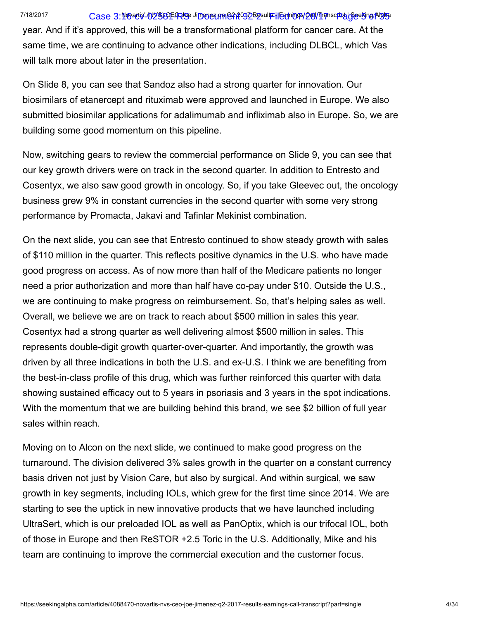# 7/18/2017 Case 3:**1@acis'-02583E-RIS** Ji**menez prine?A?O32B2sulfFilean 098/28/11** pascfiph | GeeKing AlgiB3

year. And if it's approved, this will be a transformational platform for cancer care. At the same time, we are continuing to advance other indications, including DLBCL, which Vas will talk more about later in the presentation.

On Slide 8, you can see that Sandoz also had a strong quarter for innovation. Our biosimilars of etanercept and rituximab were approved and launched in Europe. We also submitted biosimilar applications for adalimumab and infliximab also in Europe. So, we are building some good momentum on this pipeline.

Now, switching gears to review the commercial performance on Slide 9, you can see that our key growth drivers were on track in the second quarter. In addition to Entresto and Cosentyx, we also saw good growth in oncology. So, if you take Gleevec out, the oncology business grew 9% in constant currencies in the second quarter with some very strong performance by Promacta, Jakavi and Tafinlar Mekinist combination.

On the next slide, you can see that Entresto continued to show steady growth with sales of \$110 million in the quarter. This reflects positive dynamics in the U.S. who have made good progress on access. As of now more than half of the Medicare patients no longer need a prior authorization and more than half have co-pay under \$10. Outside the U.S., we are continuing to make progress on reimbursement. So, that's helping sales as well. Overall, we believe we are on track to reach about \$500 million in sales this year. Cosentyx had a strong quarter as well delivering almost \$500 million in sales. This represents double-digit growth quarter-over-quarter. And importantly, the growth was driven by all three indications in both the U.S. and ex-U.S. I think we are benefiting from the best-in-class profile of this drug, which was further reinforced this quarter with data showing sustained efficacy out to 5 years in psoriasis and 3 years in the spot indications. With the momentum that we are building behind this brand, we see \$2 billion of full year sales within reach.

Moving on to Alcon on the next slide, we continued to make good progress on the turnaround. The division delivered 3% sales growth in the quarter on a constant currency basis driven not just by Vision Care, but also by surgical. And within surgical, we saw growth in key segments, including IOLs, which grew for the first time since 2014. We are starting to see the uptick in new innovative products that we have launched including UltraSert, which is our preloaded IOL as well as PanOptix, which is our trifocal IOL, both of those in Europe and then ReSTOR +2.5 Toric in the U.S. Additionally, Mike and his team are continuing to improve the commercial execution and the customer focus.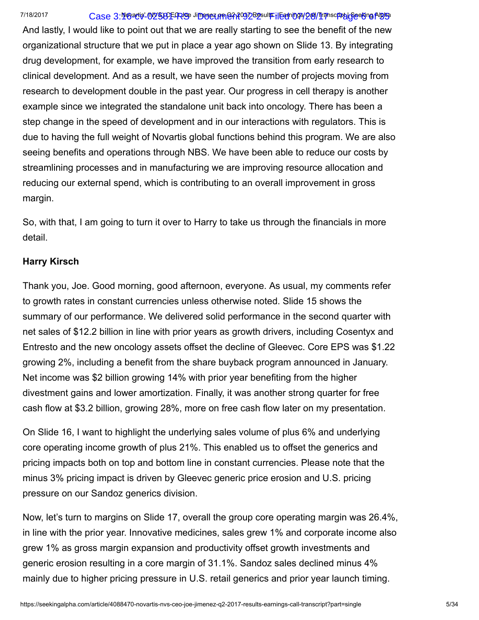#### 7/18/2017 Case 3:**1@acis'-02583E-RIS** Ji**menez prine?A?O32B2sulfFilean 098/28/11** pascfipt | **SeeKing Algis**s

And lastly, I would like to point out that we are really starting to see the benefit of the new organizational structure that we put in place a year ago shown on Slide 13. By integrating drug development, for example, we have improved the transition from early research to clinical development. And as a result, we have seen the number of projects moving from research to development double in the past year. Our progress in cell therapy is another example since we integrated the standalone unit back into oncology. There has been a step change in the speed of development and in our interactions with regulators. This is due to having the full weight of Novartis global functions behind this program. We are also seeing benefits and operations through NBS. We have been able to reduce our costs by streamlining processes and in manufacturing we are improving resource allocation and reducing our external spend, which is contributing to an overall improvement in gross margin.

So, with that, I am going to turn it over to Harry to take us through the financials in more detail.

# Harry Kirsch

Thank you, Joe. Good morning, good afternoon, everyone. As usual, my comments refer to growth rates in constant currencies unless otherwise noted. Slide 15 shows the summary of our performance. We delivered solid performance in the second quarter with net sales of \$12.2 billion in line with prior years as growth drivers, including Cosentyx and Entresto and the new oncology assets offset the decline of Gleevec. Core EPS was \$1.22 growing 2%, including a benefit from the share buyback program announced in January. Net income was \$2 billion growing 14% with prior year benefiting from the higher divestment gains and lower amortization. Finally, it was another strong quarter for free cash flow at \$3.2 billion, growing 28%, more on free cash flow later on my presentation.

On Slide 16, I want to highlight the underlying sales volume of plus 6% and underlying core operating income growth of plus 21%. This enabled us to offset the generics and pricing impacts both on top and bottom line in constant currencies. Please note that the minus 3% pricing impact is driven by Gleevec generic price erosion and U.S. pricing pressure on our Sandoz generics division.

Now, let's turn to margins on Slide 17, overall the group core operating margin was 26.4%, in line with the prior year. Innovative medicines, sales grew 1% and corporate income also grew 1% as gross margin expansion and productivity offset growth investments and generic erosion resulting in a core margin of 31.1%. Sandoz sales declined minus 4% mainly due to higher pricing pressure in U.S. retail generics and prior year launch timing.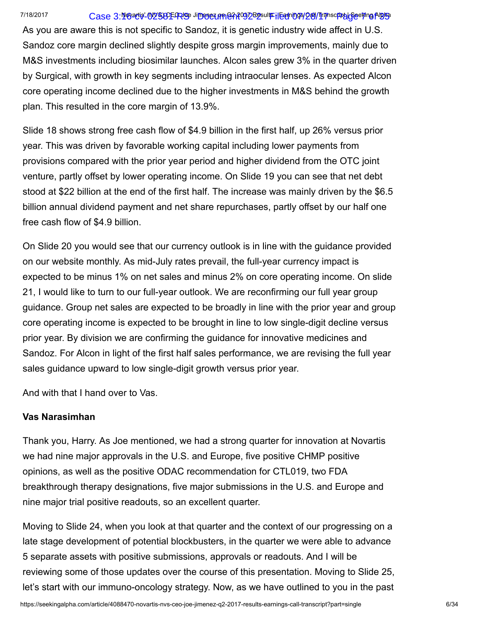# 7/18/2017 Case 3:**116/atis' (N25)3EFRISE Jimenez prine?A29**/28/28/17 Case 3:116/atis (

As you are aware this is not specific to Sandoz, it is genetic industry wide affect in U.S. Sandoz core margin declined slightly despite gross margin improvements, mainly due to M&S investments including biosimilar launches. Alcon sales grew 3% in the quarter driven by Surgical, with growth in key segments including intraocular lenses. As expected Alcon core operating income declined due to the higher investments in M&S behind the growth plan. This resulted in the core margin of 13.9%.

Slide 18 shows strong free cash flow of \$4.9 billion in the first half, up 26% versus prior year. This was driven by favorable working capital including lower payments from provisions compared with the prior year period and higher dividend from the OTC joint venture, partly offset by lower operating income. On Slide 19 you can see that net debt stood at \$22 billion at the end of the first half. The increase was mainly driven by the \$6.5 billion annual dividend payment and net share repurchases, partly offset by our half one free cash flow of \$4.9 billion.

On Slide 20 you would see that our currency outlook is in line with the guidance provided on our website monthly. As mid-July rates prevail, the full-year currency impact is expected to be minus 1% on net sales and minus 2% on core operating income. On slide 21, I would like to turn to our full-year outlook. We are reconfirming our full year group guidance. Group net sales are expected to be broadly in line with the prior year and group core operating income is expected to be brought in line to low single-digit decline versus prior year. By division we are confirming the guidance for innovative medicines and Sandoz. For Alcon in light of the first half sales performance, we are revising the full year sales guidance upward to low single-digit growth versus prior year.

And with that I hand over to Vas.

# Vas Narasimhan

Thank you, Harry. As Joe mentioned, we had a strong quarter for innovation at Novartis we had nine major approvals in the U.S. and Europe, five positive CHMP positive opinions, as well as the positive ODAC recommendation for CTL019, two FDA breakthrough therapy designations, five major submissions in the U.S. and Europe and nine major trial positive readouts, so an excellent quarter.

Moving to Slide 24, when you look at that quarter and the context of our progressing on a late stage development of potential blockbusters, in the quarter we were able to advance 5 separate assets with positive submissions, approvals or readouts. And I will be reviewing some of those updates over the course of this presentation. Moving to Slide 25, let's start with our immuno-oncology strategy. Now, as we have outlined to you in the past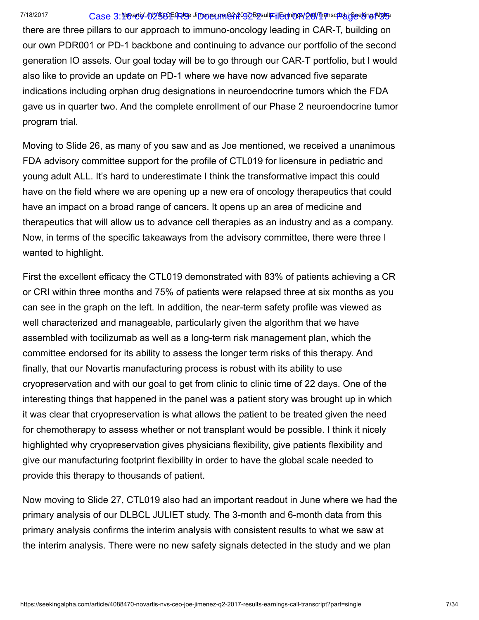# 7/18/2017 Case 3:**1@acis'-02583E-RIS** Ji**menez prine?A?O32B2sulfFilean 098/28/11** pascfipt | **SeeBing AlBha**

there are three pillars to our approach to immuno-oncology leading in CAR-T, building on our own PDR001 or PD-1 backbone and continuing to advance our portfolio of the second generation IO assets. Our goal today will be to go through our CAR-T portfolio, but I would also like to provide an update on PD-1 where we have now advanced five separate indications including orphan drug designations in neuroendocrine tumors which the FDA gave us in quarter two. And the complete enrollment of our Phase 2 neuroendocrine tumor program trial.

Moving to Slide 26, as many of you saw and as Joe mentioned, we received a unanimous FDA advisory committee support for the profile of CTL019 for licensure in pediatric and young adult ALL. It's hard to underestimate I think the transformative impact this could have on the field where we are opening up a new era of oncology therapeutics that could have an impact on a broad range of cancers. It opens up an area of medicine and therapeutics that will allow us to advance cell therapies as an industry and as a company. Now, in terms of the specific takeaways from the advisory committee, there were three I wanted to highlight.

First the excellent efficacy the CTL019 demonstrated with 83% of patients achieving a CR or CRI within three months and 75% of patients were relapsed three at six months as you can see in the graph on the left. In addition, the near-term safety profile was viewed as well characterized and manageable, particularly given the algorithm that we have assembled with tocilizumab as well as a long-term risk management plan, which the committee endorsed for its ability to assess the longer term risks of this therapy. And finally, that our Novartis manufacturing process is robust with its ability to use cryopreservation and with our goal to get from clinic to clinic time of 22 days. One of the interesting things that happened in the panel was a patient story was brought up in which it was clear that cryopreservation is what allows the patient to be treated given the need for chemotherapy to assess whether or not transplant would be possible. I think it nicely highlighted why cryopreservation gives physicians flexibility, give patients flexibility and give our manufacturing footprint flexibility in order to have the global scale needed to provide this therapy to thousands of patient.

Now moving to Slide 27, CTL019 also had an important readout in June where we had the primary analysis of our DLBCL JULIET study. The 3-month and 6-month data from this primary analysis confirms the interim analysis with consistent results to what we saw at the interim analysis. There were no new safety signals detected in the study and we plan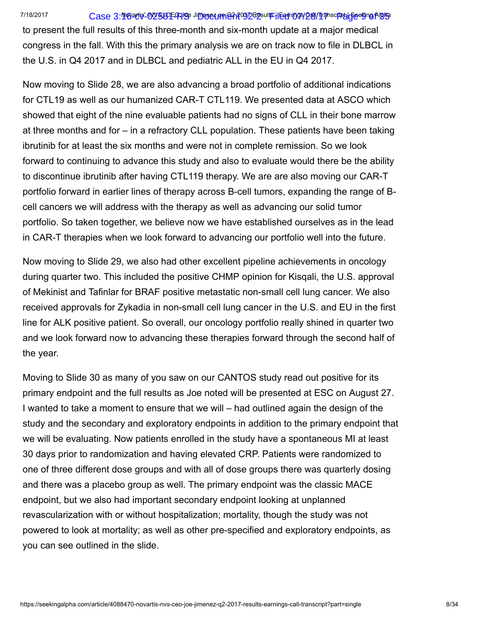# 7/18/2017 Case 3:**116/atis' (N25)3EFPUS** Ji**menez prine?A?O32B2sulfFilean 098/28/11** pascfipt | **Seeking Algis**s

to present the full results of this three-month and six-month update at a major medical congress in the fall. With this the primary analysis we are on track now to file in DLBCL in the U.S. in Q4 2017 and in DLBCL and pediatric ALL in the EU in Q4 2017.

Now moving to Slide 28, we are also advancing a broad portfolio of additional indications for CTL19 as well as our humanized CAR-T CTL119. We presented data at ASCO which showed that eight of the nine evaluable patients had no signs of CLL in their bone marrow at three months and for – in a refractory CLL population. These patients have been taking ibrutinib for at least the six months and were not in complete remission. So we look forward to continuing to advance this study and also to evaluate would there be the ability to discontinue ibrutinib after having CTL119 therapy. We are are also moving our CAR-T portfolio forward in earlier lines of therapy across B-cell tumors, expanding the range of Bcell cancers we will address with the therapy as well as advancing our solid tumor portfolio. So taken together, we believe now we have established ourselves as in the lead in CAR-T therapies when we look forward to advancing our portfolio well into the future.

Now moving to Slide 29, we also had other excellent pipeline achievements in oncology during quarter two. This included the positive CHMP opinion for Kisqali, the U.S. approval of Mekinist and Tafinlar for BRAF positive metastatic non-small cell lung cancer. We also received approvals for Zykadia in non-small cell lung cancer in the U.S. and EU in the first line for ALK positive patient. So overall, our oncology portfolio really shined in quarter two and we look forward now to advancing these therapies forward through the second half of the year.

Moving to Slide 30 as many of you saw on our CANTOS study read out positive for its primary endpoint and the full results as Joe noted will be presented at ESC on August 27. I wanted to take a moment to ensure that we will – had outlined again the design of the study and the secondary and exploratory endpoints in addition to the primary endpoint that we will be evaluating. Now patients enrolled in the study have a spontaneous MI at least 30 days prior to randomization and having elevated CRP. Patients were randomized to one of three different dose groups and with all of dose groups there was quarterly dosing and there was a placebo group as well. The primary endpoint was the classic MACE endpoint, but we also had important secondary endpoint looking at unplanned revascularization with or without hospitalization; mortality, though the study was not powered to look at mortality; as well as other pre-specified and exploratory endpoints, as you can see outlined in the slide.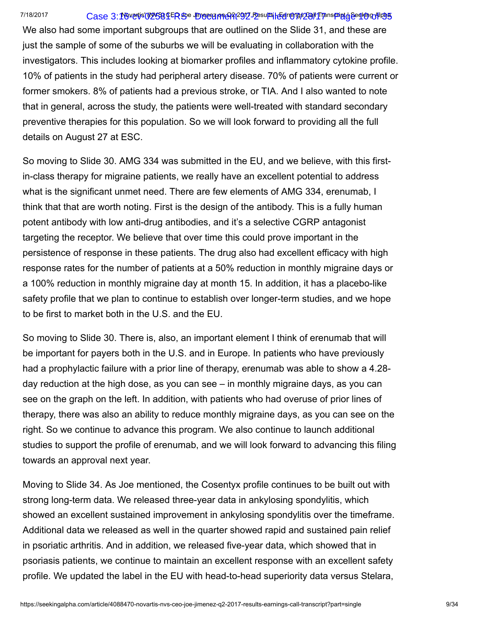#### 7/18/2017 Case 3:16-vertis' (NYS8) LER SO Umergame 92-2 Fesults | Egromats 29/1 Transport | Geglung Alpha

We also had some important subgroups that are outlined on the Slide 31, and these are just the sample of some of the suburbs we will be evaluating in collaboration with the investigators. This includes looking at biomarker profiles and inflammatory cytokine profile. 10% of patients in the study had peripheral artery disease. 70% of patients were current or former smokers. 8% of patients had a previous stroke, or TIA. And I also wanted to note that in general, across the study, the patients were well-treated with standard secondary preventive therapies for this population. So we will look forward to providing all the full details on August 27 at ESC.

So moving to Slide 30. AMG 334 was submitted in the EU, and we believe, with this firstin-class therapy for migraine patients, we really have an excellent potential to address what is the significant unmet need. There are few elements of AMG 334, erenumab, I think that that are worth noting. First is the design of the antibody. This is a fully human potent antibody with low anti-drug antibodies, and it's a selective CGRP antagonist targeting the receptor. We believe that over time this could prove important in the persistence of response in these patients. The drug also had excellent efficacy with high response rates for the number of patients at a 50% reduction in monthly migraine days or a 100% reduction in monthly migraine day at month 15. In addition, it has a placebo-like safety profile that we plan to continue to establish over longer-term studies, and we hope to be first to market both in the U.S. and the EU.

So moving to Slide 30. There is, also, an important element I think of erenumab that will be important for payers both in the U.S. and in Europe. In patients who have previously had a prophylactic failure with a prior line of therapy, erenumab was able to show a 4.28 day reduction at the high dose, as you can see – in monthly migraine days, as you can see on the graph on the left. In addition, with patients who had overuse of prior lines of therapy, there was also an ability to reduce monthly migraine days, as you can see on the right. So we continue to advance this program. We also continue to launch additional studies to support the profile of erenumab, and we will look forward to advancing this filing towards an approval next year.

Moving to Slide 34. As Joe mentioned, the Cosentyx profile continues to be built out with strong long-term data. We released three-year data in ankylosing spondylitis, which showed an excellent sustained improvement in ankylosing spondylitis over the timeframe. Additional data we released as well in the quarter showed rapid and sustained pain relief in psoriatic arthritis. And in addition, we released five-year data, which showed that in psoriasis patients, we continue to maintain an excellent response with an excellent safety profile. We updated the label in the EU with head-to-head superiority data versus Stelara,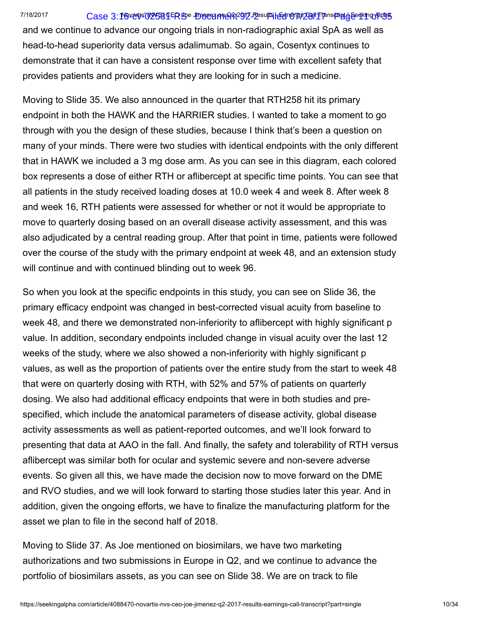# 7/18/2017 Case 3:16-vertis' (NOVS8) LER SO Umorgan Merat2912 Pesults | Een Magas29/11 Transpaigt | Seeking Alpha

and we continue to advance our ongoing trials in non-radiographic axial SpA as well as head-to-head superiority data versus adalimumab. So again, Cosentyx continues to demonstrate that it can have a consistent response over time with excellent safety that provides patients and providers what they are looking for in such a medicine.

Moving to Slide 35. We also announced in the quarter that RTH258 hit its primary endpoint in both the HAWK and the HARRIER studies. I wanted to take a moment to go through with you the design of these studies, because I think that's been a question on many of your minds. There were two studies with identical endpoints with the only different that in HAWK we included a 3 mg dose arm. As you can see in this diagram, each colored box represents a dose of either RTH or aflibercept at specific time points. You can see that all patients in the study received loading doses at 10.0 week 4 and week 8. After week 8 and week 16, RTH patients were assessed for whether or not it would be appropriate to move to quarterly dosing based on an overall disease activity assessment, and this was also adjudicated by a central reading group. After that point in time, patients were followed over the course of the study with the primary endpoint at week 48, and an extension study will continue and with continued blinding out to week 96.

So when you look at the specific endpoints in this study, you can see on Slide 36, the primary efficacy endpoint was changed in best-corrected visual acuity from baseline to week 48, and there we demonstrated non-inferiority to aflibercept with highly significant p value. In addition, secondary endpoints included change in visual acuity over the last 12 weeks of the study, where we also showed a non-inferiority with highly significant p values, as well as the proportion of patients over the entire study from the start to week 48 that were on quarterly dosing with RTH, with 52% and 57% of patients on quarterly dosing. We also had additional efficacy endpoints that were in both studies and prespecified, which include the anatomical parameters of disease activity, global disease activity assessments as well as patient-reported outcomes, and we'll look forward to presenting that data at AAO in the fall. And finally, the safety and tolerability of RTH versus aflibercept was similar both for ocular and systemic severe and non-severe adverse events. So given all this, we have made the decision now to move forward on the DME and RVO studies, and we will look forward to starting those studies later this year. And in addition, given the ongoing efforts, we have to finalize the manufacturing platform for the asset we plan to file in the second half of 2018.

Moving to Slide 37. As Joe mentioned on biosimilars, we have two marketing authorizations and two submissions in Europe in Q2, and we continue to advance the portfolio of biosimilars assets, as you can see on Slide 38. We are on track to file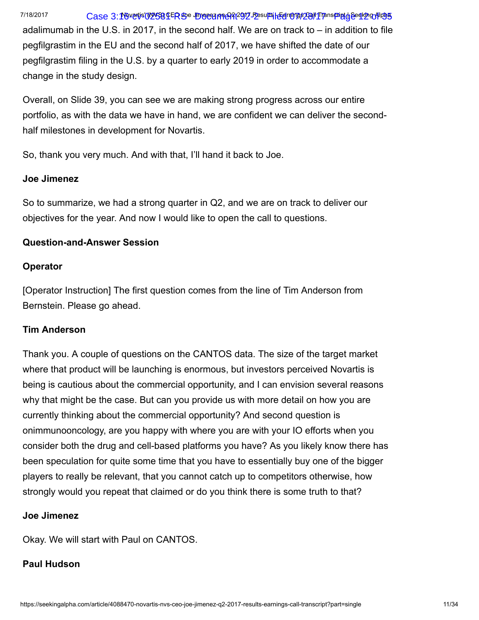# 7/18/2017 Case 3:16-vertis' (NOVS8) LER SO Umergame At 2912 Fesults | Eenropas 28/11 Transpaigt of Seeking Alpha

adalimumab in the U.S. in 2017, in the second half. We are on track to – in addition to file pegfilgrastim in the EU and the second half of 2017, we have shifted the date of our pegfilgrastim filing in the U.S. by a quarter to early 2019 in order to accommodate a change in the study design.

Overall, on Slide 39, you can see we are making strong progress across our entire portfolio, as with the data we have in hand, we are confident we can deliver the secondhalf milestones in development for Novartis.

So, thank you very much. And with that, I'll hand it back to Joe.

# Joe Jimenez

So to summarize, we had a strong quarter in Q2, and we are on track to deliver our objectives for the year. And now I would like to open the call to questions.

# Question-and-Answer Session

# **Operator**

[Operator Instruction] The first question comes from the line of Tim Anderson from Bernstein. Please go ahead.

# Tim Anderson

Thank you. A couple of questions on the CANTOS data. The size of the target market where that product will be launching is enormous, but investors perceived Novartis is being is cautious about the commercial opportunity, and I can envision several reasons why that might be the case. But can you provide us with more detail on how you are currently thinking about the commercial opportunity? And second question is onimmunooncology, are you happy with where you are with your IO efforts when you consider both the drug and cell-based platforms you have? As you likely know there has been speculation for quite some time that you have to essentially buy one of the bigger players to really be relevant, that you cannot catch up to competitors otherwise, how strongly would you repeat that claimed or do you think there is some truth to that?

# Joe Jimenez

Okay. We will start with Paul on CANTOS.

# Paul Hudson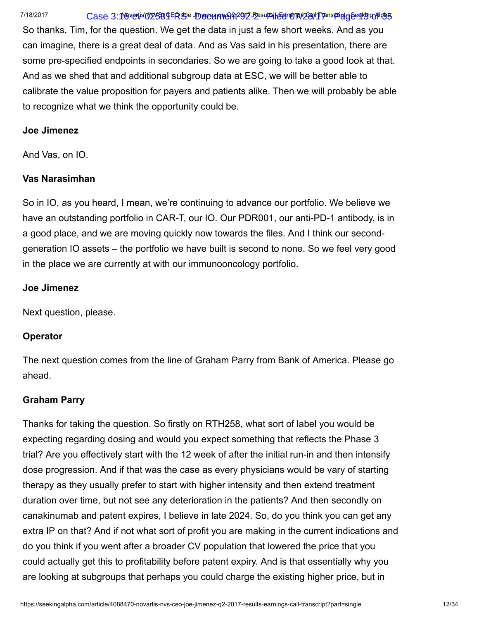# 7/18/2017 Case 3:16-vertis' (NYS8) LER SO Umergame 92-2 Eesults | Eelr MTOS 28/1 Transport of deserts of 1995

So thanks, Tim, for the question. We get the data in just a few short weeks. And as you can imagine, there is a great deal of data. And as Vas said in his presentation, there are some pre-specified endpoints in secondaries. So we are going to take a good look at that. And as we shed that and additional subgroup data at ESC, we will be better able to calibrate the value proposition for payers and patients alike. Then we will probably be able to recognize what we think the opportunity could be.

# Joe Jimenez

And Vas, on IO.

# Vas Narasimhan

So in IO, as you heard, I mean, we're continuing to advance our portfolio. We believe we have an outstanding portfolio in CAR-T, our IO. Our PDR001, our anti-PD-1 antibody, is in a good place, and we are moving quickly now towards the files. And I think our secondgeneration IO assets – the portfolio we have built is second to none. So we feel very good in the place we are currently at with our immunooncology portfolio.

#### Joe Jimenez

Next question, please.

# **Operator**

The next question comes from the line of Graham Parry from Bank of America. Please go ahead.

# Graham Parry

Thanks for taking the question. So firstly on RTH258, what sort of label you would be expecting regarding dosing and would you expect something that reflects the Phase 3 trial? Are you effectively start with the 12 week of after the initial run-in and then intensify dose progression. And if that was the case as every physicians would be vary of starting therapy as they usually prefer to start with higher intensity and then extend treatment duration over time, but not see any deterioration in the patients? And then secondly on canakinumab and patent expires, I believe in late 2024. So, do you think you can get any extra IP on that? And if not what sort of profit you are making in the current indications and do you think if you went after a broader CV population that lowered the price that you could actually get this to profitability before patent expiry. And is that essentially why you are looking at subgroups that perhaps you could charge the existing higher price, but in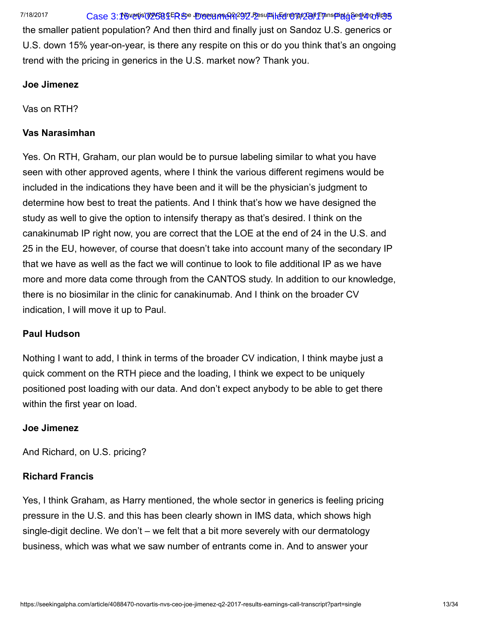7/18/2017 Case 3:16-vertis' (NOVS8) LER SO Umorgan Merat2912 Pesults | Een Mars29/I Transpaint of Beaking Alpha

the smaller patient population? And then third and finally just on Sandoz U.S. generics or U.S. down 15% year-on-year, is there any respite on this or do you think that's an ongoing trend with the pricing in generics in the U.S. market now? Thank you.

# Joe Jimenez

Vas on RTH?

# Vas Narasimhan

Yes. On RTH, Graham, our plan would be to pursue labeling similar to what you have seen with other approved agents, where I think the various different regimens would be included in the indications they have been and it will be the physician's judgment to determine how best to treat the patients. And I think that's how we have designed the study as well to give the option to intensify therapy as that's desired. I think on the canakinumab IP right now, you are correct that the LOE at the end of 24 in the U.S. and 25 in the EU, however, of course that doesn't take into account many of the secondary IP that we have as well as the fact we will continue to look to file additional IP as we have more and more data come through from the CANTOS study. In addition to our knowledge, there is no biosimilar in the clinic for canakinumab. And I think on the broader CV indication, I will move it up to Paul.

# Paul Hudson

Nothing I want to add, I think in terms of the broader CV indication, I think maybe just a quick comment on the RTH piece and the loading, I think we expect to be uniquely positioned post loading with our data. And don't expect anybody to be able to get there within the first year on load.

# Joe Jimenez

And Richard, on U.S. pricing?

# Richard Francis

Yes, I think Graham, as Harry mentioned, the whole sector in generics is feeling pricing pressure in the U.S. and this has been clearly shown in IMS data, which shows high single-digit decline. We don't – we felt that a bit more severely with our dermatology business, which was what we saw number of entrants come in. And to answer your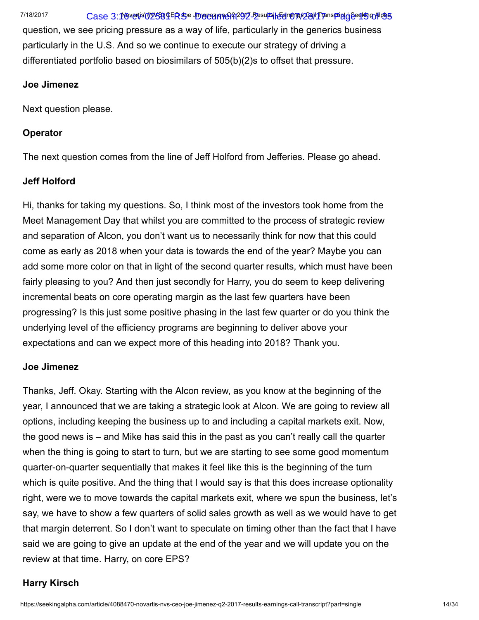7/18/2017 Case 3:16-vertis' (NYS8) LER SO Umergame 92-2 Eesults | Eelro Mac2017 Panspagt | Seeklo Gril 198

question, we see pricing pressure as a way of life, particularly in the generics business particularly in the U.S. And so we continue to execute our strategy of driving a differentiated portfolio based on biosimilars of 505(b)(2)s to offset that pressure.

#### Joe Jimenez

Next question please.

# **Operator**

The next question comes from the line of Jeff Holford from Jefferies. Please go ahead.

# Jeff Holford

Hi, thanks for taking my questions. So, I think most of the investors took home from the Meet Management Day that whilst you are committed to the process of strategic review and separation of Alcon, you don't want us to necessarily think for now that this could come as early as 2018 when your data is towards the end of the year? Maybe you can add some more color on that in light of the second quarter results, which must have been fairly pleasing to you? And then just secondly for Harry, you do seem to keep delivering incremental beats on core operating margin as the last few quarters have been progressing? Is this just some positive phasing in the last few quarter or do you think the underlying level of the efficiency programs are beginning to deliver above your expectations and can we expect more of this heading into 2018? Thank you.

# Joe Jimenez

Thanks, Jeff. Okay. Starting with the Alcon review, as you know at the beginning of the year, I announced that we are taking a strategic look at Alcon. We are going to review all options, including keeping the business up to and including a capital markets exit. Now, the good news is – and Mike has said this in the past as you can't really call the quarter when the thing is going to start to turn, but we are starting to see some good momentum quarter-on-quarter sequentially that makes it feel like this is the beginning of the turn which is quite positive. And the thing that I would say is that this does increase optionality right, were we to move towards the capital markets exit, where we spun the business, let's say, we have to show a few quarters of solid sales growth as well as we would have to get that margin deterrent. So I don't want to speculate on timing other than the fact that I have said we are going to give an update at the end of the year and we will update you on the review at that time. Harry, on core EPS?

# Harry Kirsch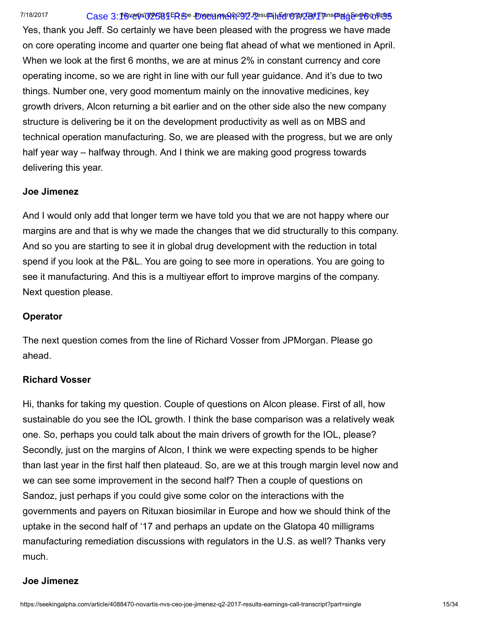#### 7/18/2017 Case 3:16-vertis' (NYS8) LER SO Umergame 92-2 Fesults | Egromp\$29/I Transport by Geglob actions

Yes, thank you Jeff. So certainly we have been pleased with the progress we have made on core operating income and quarter one being flat ahead of what we mentioned in April. When we look at the first 6 months, we are at minus 2% in constant currency and core operating income, so we are right in line with our full year guidance. And it's due to two things. Number one, very good momentum mainly on the innovative medicines, key growth drivers, Alcon returning a bit earlier and on the other side also the new company structure is delivering be it on the development productivity as well as on MBS and technical operation manufacturing. So, we are pleased with the progress, but we are only half year way – halfway through. And I think we are making good progress towards delivering this year.

#### Joe Jimenez

And I would only add that longer term we have told you that we are not happy where our margins are and that is why we made the changes that we did structurally to this company. And so you are starting to see it in global drug development with the reduction in total spend if you look at the P&L. You are going to see more in operations. You are going to see it manufacturing. And this is a multiyear effort to improve margins of the company. Next question please.

# **Operator**

The next question comes from the line of Richard Vosser from JPMorgan. Please go ahead.

# Richard Vosser

Hi, thanks for taking my question. Couple of questions on Alcon please. First of all, how sustainable do you see the IOL growth. I think the base comparison was a relatively weak one. So, perhaps you could talk about the main drivers of growth for the IOL, please? Secondly, just on the margins of Alcon, I think we were expecting spends to be higher than last year in the first half then plateaud. So, are we at this trough margin level now and we can see some improvement in the second half? Then a couple of questions on Sandoz, just perhaps if you could give some color on the interactions with the governments and payers on Rituxan biosimilar in Europe and how we should think of the uptake in the second half of '17 and perhaps an update on the Glatopa 40 milligrams manufacturing remediation discussions with regulators in the U.S. as well? Thanks very much.

# Joe Jimenez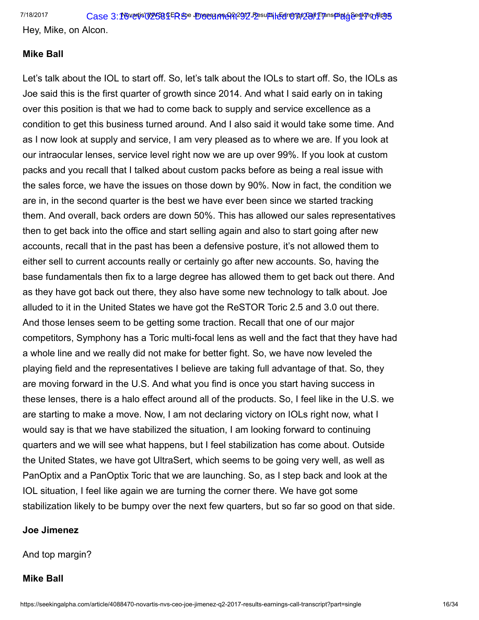Hey, Mike, on Alcon.

# Mike Ball

Let's talk about the IOL to start off. So, let's talk about the IOLs to start off. So, the IOLs as Joe said this is the first quarter of growth since 2014. And what I said early on in taking over this position is that we had to come back to supply and service excellence as a condition to get this business turned around. And I also said it would take some time. And as I now look at supply and service, I am very pleased as to where we are. If you look at our intraocular lenses, service level right now we are up over 99%. If you look at custom packs and you recall that I talked about custom packs before as being a real issue with the sales force, we have the issues on those down by 90%. Now in fact, the condition we are in, in the second quarter is the best we have ever been since we started tracking them. And overall, back orders are down 50%. This has allowed our sales representatives then to get back into the office and start selling again and also to start going after new accounts, recall that in the past has been a defensive posture, it's not allowed them to either sell to current accounts really or certainly go after new accounts. So, having the base fundamentals then fix to a large degree has allowed them to get back out there. And as they have got back out there, they also have some new technology to talk about. Joe alluded to it in the United States we have got the ReSTOR Toric 2.5 and 3.0 out there. And those lenses seem to be getting some traction. Recall that one of our major competitors, Symphony has a Toric multi-focal lens as well and the fact that they have had a whole line and we really did not make for better fight. So, we have now leveled the playing field and the representatives I believe are taking full advantage of that. So, they are moving forward in the U.S. And what you find is once you start having success in these lenses, there is a halo effect around all of the products. So, I feel like in the U.S. we are starting to make a move. Now, I am not declaring victory on IOLs right now, what I would say is that we have stabilized the situation, I am looking forward to continuing quarters and we will see what happens, but I feel stabilization has come about. Outside the United States, we have got UltraSert, which seems to be going very well, as well as PanOptix and a PanOptix Toric that we are launching. So, as I step back and look at the IOL situation, I feel like again we are turning the corner there. We have got some stabilization likely to be bumpy over the next few quarters, but so far so good on that side.

#### Joe Jimenez

And top margin?

# Mike Ball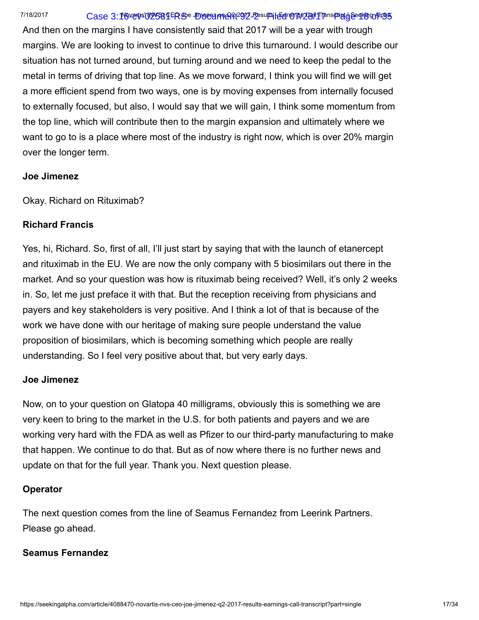# 7/18/2017 Case 3:16-vertis' (NYS8) LER SO Umergame 92-2 Eesults | EelroMp\$29/I Transpagt Jeeq Kog Hoog

And then on the margins I have consistently said that 2017 will be a year with trough margins. We are looking to invest to continue to drive this turnaround. I would describe our situation has not turned around, but turning around and we need to keep the pedal to the metal in terms of driving that top line. As we move forward, I think you will find we will get a more efficient spend from two ways, one is by moving expenses from internally focused to externally focused, but also, I would say that we will gain, I think some momentum from the top line, which will contribute then to the margin expansion and ultimately where we want to go to is a place where most of the industry is right now, which is over 20% margin over the longer term.

#### Joe Jimenez

Okay. Richard on Rituximab?

# Richard Francis

Yes, hi, Richard. So, first of all, I'll just start by saying that with the launch of etanercept and rituximab in the EU. We are now the only company with 5 biosimilars out there in the market. And so your question was how is rituximab being received? Well, it's only 2 weeks in. So, let me just preface it with that. But the reception receiving from physicians and payers and key stakeholders is very positive. And I think a lot of that is because of the work we have done with our heritage of making sure people understand the value proposition of biosimilars, which is becoming something which people are really understanding. So I feel very positive about that, but very early days.

# Joe Jimenez

Now, on to your question on Glatopa 40 milligrams, obviously this is something we are very keen to bring to the market in the U.S. for both patients and payers and we are working very hard with the FDA as well as Pfizer to our third-party manufacturing to make that happen. We continue to do that. But as of now where there is no further news and update on that for the full year. Thank you. Next question please.

# Operator

The next question comes from the line of Seamus Fernandez from Leerink Partners. Please go ahead.

# Seamus Fernandez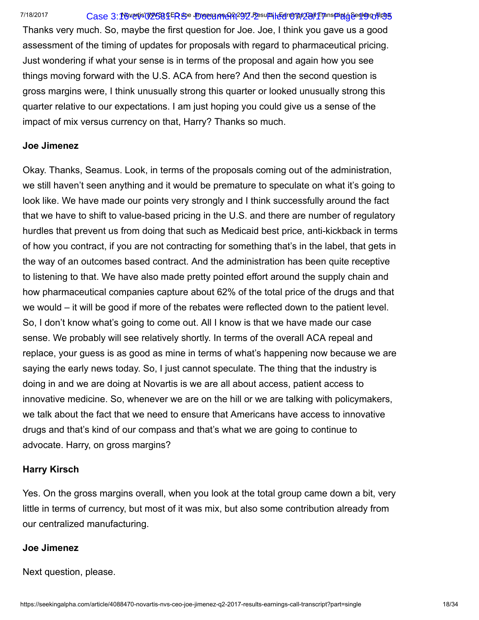#### 7/18/2017 Case 3:16-vertis' (NYS8) LER SO Umergame 92-2 Eesults | Eelro Mac2017 Panspagt | Beeking Alpha

Thanks very much. So, maybe the first question for Joe. Joe, I think you gave us a good assessment of the timing of updates for proposals with regard to pharmaceutical pricing. Just wondering if what your sense is in terms of the proposal and again how you see things moving forward with the U.S. ACA from here? And then the second question is gross margins were, I think unusually strong this quarter or looked unusually strong this quarter relative to our expectations. I am just hoping you could give us a sense of the impact of mix versus currency on that, Harry? Thanks so much.

#### Joe Jimenez

Okay. Thanks, Seamus. Look, in terms of the proposals coming out of the administration, we still haven't seen anything and it would be premature to speculate on what it's going to look like. We have made our points very strongly and I think successfully around the fact that we have to shift to value-based pricing in the U.S. and there are number of regulatory hurdles that prevent us from doing that such as Medicaid best price, anti-kickback in terms of how you contract, if you are not contracting for something that's in the label, that gets in the way of an outcomes based contract. And the administration has been quite receptive to listening to that. We have also made pretty pointed effort around the supply chain and how pharmaceutical companies capture about 62% of the total price of the drugs and that we would – it will be good if more of the rebates were reflected down to the patient level. So, I don't know what's going to come out. All I know is that we have made our case sense. We probably will see relatively shortly. In terms of the overall ACA repeal and replace, your guess is as good as mine in terms of what's happening now because we are saying the early news today. So, I just cannot speculate. The thing that the industry is doing in and we are doing at Novartis is we are all about access, patient access to innovative medicine. So, whenever we are on the hill or we are talking with policymakers, we talk about the fact that we need to ensure that Americans have access to innovative drugs and that's kind of our compass and that's what we are going to continue to advocate. Harry, on gross margins?

#### Harry Kirsch

Yes. On the gross margins overall, when you look at the total group came down a bit, very little in terms of currency, but most of it was mix, but also some contribution already from our centralized manufacturing.

#### Joe Jimenez

Next question, please.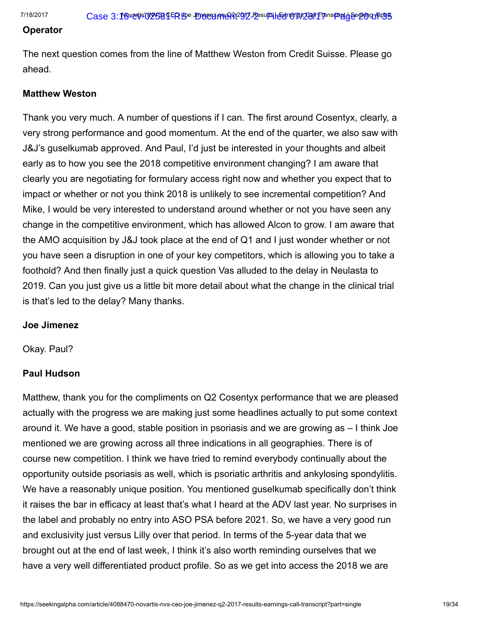#### Operator

The next question comes from the line of Matthew Weston from Credit Suisse. Please go ahead.

#### Matthew Weston

Thank you very much. A number of questions if I can. The first around Cosentyx, clearly, a very strong performance and good momentum. At the end of the quarter, we also saw with J&J's guselkumab approved. And Paul, I'd just be interested in your thoughts and albeit early as to how you see the 2018 competitive environment changing? I am aware that clearly you are negotiating for formulary access right now and whether you expect that to impact or whether or not you think 2018 is unlikely to see incremental competition? And Mike, I would be very interested to understand around whether or not you have seen any change in the competitive environment, which has allowed Alcon to grow. I am aware that the AMO acquisition by J&J took place at the end of Q1 and I just wonder whether or not you have seen a disruption in one of your key competitors, which is allowing you to take a foothold? And then finally just a quick question Vas alluded to the delay in Neulasta to 2019. Can you just give us a little bit more detail about what the change in the clinical trial is that's led to the delay? Many thanks.

#### Joe Jimenez

Okay. Paul?

# Paul Hudson

Matthew, thank you for the compliments on Q2 Cosentyx performance that we are pleased actually with the progress we are making just some headlines actually to put some context around it. We have a good, stable position in psoriasis and we are growing as – I think Joe mentioned we are growing across all three indications in all geographies. There is of course new competition. I think we have tried to remind everybody continually about the opportunity outside psoriasis as well, which is psoriatic arthritis and ankylosing spondylitis. We have a reasonably unique position. You mentioned guselkumab specifically don't think it raises the bar in efficacy at least that's what I heard at the ADV last year. No surprises in the label and probably no entry into ASO PSA before 2021. So, we have a very good run and exclusivity just versus Lilly over that period. In terms of the 5-year data that we brought out at the end of last week, I think it's also worth reminding ourselves that we have a very well differentiated product profile. So as we get into access the 2018 we are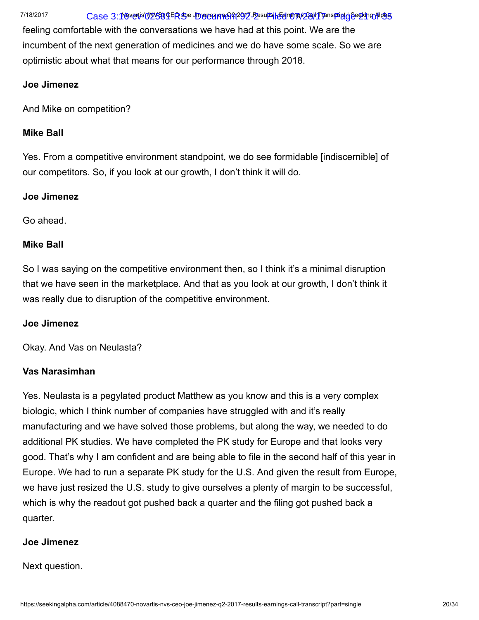# 7/18/2017 Case 3:16-vertis' (NOVS8) LER SO Umergame At 2912 Fesults | Eenropage 2011 Transport | Geographics

feeling comfortable with the conversations we have had at this point. We are the incumbent of the next generation of medicines and we do have some scale. So we are optimistic about what that means for our performance through 2018.

# Joe Jimenez

And Mike on competition?

# Mike Ball

Yes. From a competitive environment standpoint, we do see formidable [indiscernible] of our competitors. So, if you look at our growth, I don't think it will do.

# Joe Jimenez

Go ahead.

# Mike Ball

So I was saying on the competitive environment then, so I think it's a minimal disruption that we have seen in the marketplace. And that as you look at our growth, I don't think it was really due to disruption of the competitive environment.

# Joe Jimenez

Okay. And Vas on Neulasta?

# Vas Narasimhan

Yes. Neulasta is a pegylated product Matthew as you know and this is a very complex biologic, which I think number of companies have struggled with and it's really manufacturing and we have solved those problems, but along the way, we needed to do additional PK studies. We have completed the PK study for Europe and that looks very good. That's why I am confident and are being able to file in the second half of this year in Europe. We had to run a separate PK study for the U.S. And given the result from Europe, we have just resized the U.S. study to give ourselves a plenty of margin to be successful, which is why the readout got pushed back a quarter and the filing got pushed back a quarter.

# Joe Jimenez

Next question.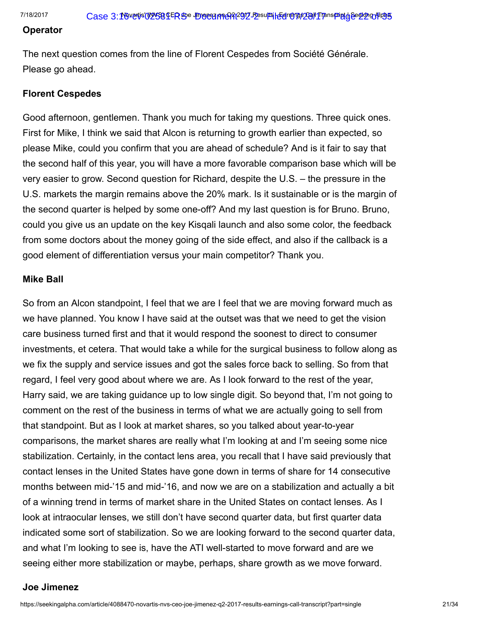#### Operator

The next question comes from the line of Florent Cespedes from Société Générale. Please go ahead.

#### Florent Cespedes

Good afternoon, gentlemen. Thank you much for taking my questions. Three quick ones. First for Mike, I think we said that Alcon is returning to growth earlier than expected, so please Mike, could you confirm that you are ahead of schedule? And is it fair to say that the second half of this year, you will have a more favorable comparison base which will be very easier to grow. Second question for Richard, despite the U.S. – the pressure in the U.S. markets the margin remains above the 20% mark. Is it sustainable or is the margin of the second quarter is helped by some one-off? And my last question is for Bruno. Bruno, could you give us an update on the key Kisqali launch and also some color, the feedback from some doctors about the money going of the side effect, and also if the callback is a good element of differentiation versus your main competitor? Thank you.

#### Mike Ball

So from an Alcon standpoint, I feel that we are I feel that we are moving forward much as we have planned. You know I have said at the outset was that we need to get the vision care business turned first and that it would respond the soonest to direct to consumer investments, et cetera. That would take a while for the surgical business to follow along as we fix the supply and service issues and got the sales force back to selling. So from that regard, I feel very good about where we are. As I look forward to the rest of the year, Harry said, we are taking guidance up to low single digit. So beyond that, I'm not going to comment on the rest of the business in terms of what we are actually going to sell from that standpoint. But as I look at market shares, so you talked about year-to-year comparisons, the market shares are really what I'm looking at and I'm seeing some nice stabilization. Certainly, in the contact lens area, you recall that I have said previously that contact lenses in the United States have gone down in terms of share for 14 consecutive months between mid-'15 and mid-'16, and now we are on a stabilization and actually a bit of a winning trend in terms of market share in the United States on contact lenses. As I look at intraocular lenses, we still don't have second quarter data, but first quarter data indicated some sort of stabilization. So we are looking forward to the second quarter data, and what I'm looking to see is, have the ATI well-started to move forward and are we seeing either more stabilization or maybe, perhaps, share growth as we move forward.

#### Joe Jimenez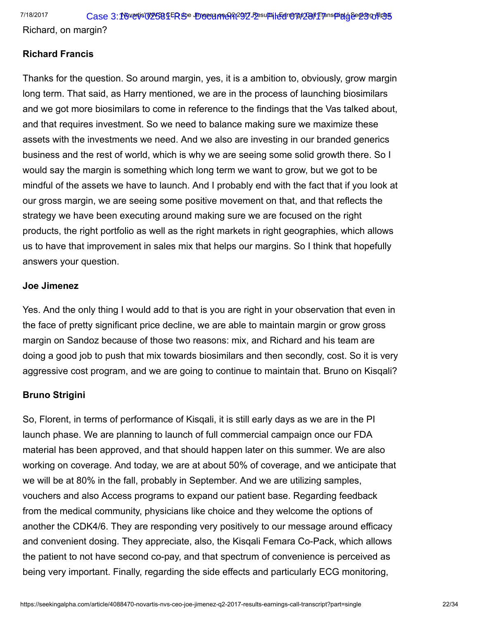Richard, on margin?

# Richard Francis

Thanks for the question. So around margin, yes, it is a ambition to, obviously, grow margin long term. That said, as Harry mentioned, we are in the process of launching biosimilars and we got more biosimilars to come in reference to the findings that the Vas talked about, and that requires investment. So we need to balance making sure we maximize these assets with the investments we need. And we also are investing in our branded generics business and the rest of world, which is why we are seeing some solid growth there. So I would say the margin is something which long term we want to grow, but we got to be mindful of the assets we have to launch. And I probably end with the fact that if you look at our gross margin, we are seeing some positive movement on that, and that reflects the strategy we have been executing around making sure we are focused on the right products, the right portfolio as well as the right markets in right geographies, which allows us to have that improvement in sales mix that helps our margins. So I think that hopefully answers your question.

# Joe Jimenez

Yes. And the only thing I would add to that is you are right in your observation that even in the face of pretty significant price decline, we are able to maintain margin or grow gross margin on Sandoz because of those two reasons: mix, and Richard and his team are doing a good job to push that mix towards biosimilars and then secondly, cost. So it is very aggressive cost program, and we are going to continue to maintain that. Bruno on Kisqali?

# Bruno Strigini

So, Florent, in terms of performance of Kisqali, it is still early days as we are in the PI launch phase. We are planning to launch of full commercial campaign once our FDA material has been approved, and that should happen later on this summer. We are also working on coverage. And today, we are at about 50% of coverage, and we anticipate that we will be at 80% in the fall, probably in September. And we are utilizing samples, vouchers and also Access programs to expand our patient base. Regarding feedback from the medical community, physicians like choice and they welcome the options of another the CDK4/6. They are responding very positively to our message around efficacy and convenient dosing. They appreciate, also, the Kisqali Femara Co-Pack, which allows the patient to not have second co-pay, and that spectrum of convenience is perceived as being very important. Finally, regarding the side effects and particularly ECG monitoring,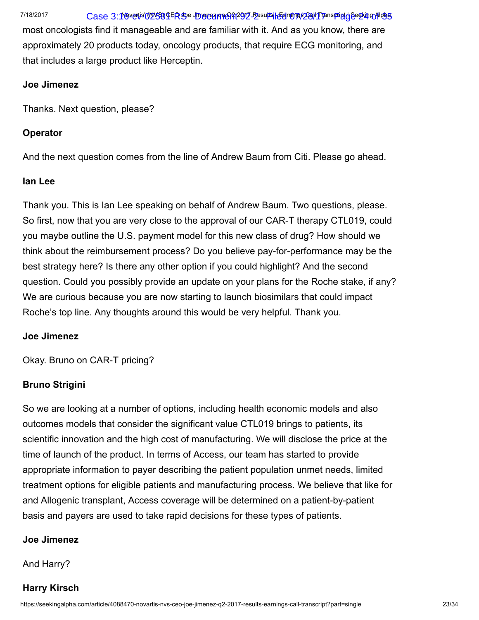# 7/18/2017 Case 3:1694015819ER99e IDocoanneAit2912 Besults | Edropas 28/11 Transpaint dise&ing Alpha

most oncologists find it manageable and are familiar with it. And as you know, there are approximately 20 products today, oncology products, that require ECG monitoring, and that includes a large product like Herceptin.

#### Joe Jimenez

Thanks. Next question, please?

# **Operator**

And the next question comes from the line of Andrew Baum from Citi. Please go ahead.

# Ian Lee

Thank you. This is Ian Lee speaking on behalf of Andrew Baum. Two questions, please. So first, now that you are very close to the approval of our CAR-T therapy CTL019, could you maybe outline the U.S. payment model for this new class of drug? How should we think about the reimbursement process? Do you believe pay-for-performance may be the best strategy here? Is there any other option if you could highlight? And the second question. Could you possibly provide an update on your plans for the Roche stake, if any? We are curious because you are now starting to launch biosimilars that could impact Roche's top line. Any thoughts around this would be very helpful. Thank you.

# Joe Jimenez

Okay. Bruno on CAR-T pricing?

# Bruno Strigini

So we are looking at a number of options, including health economic models and also outcomes models that consider the significant value CTL019 brings to patients, its scientific innovation and the high cost of manufacturing. We will disclose the price at the time of launch of the product. In terms of Access, our team has started to provide appropriate information to payer describing the patient population unmet needs, limited treatment options for eligible patients and manufacturing process. We believe that like for and Allogenic transplant, Access coverage will be determined on a patient-by-patient basis and payers are used to take rapid decisions for these types of patients.

# Joe Jimenez

# And Harry?

# Harry Kirsch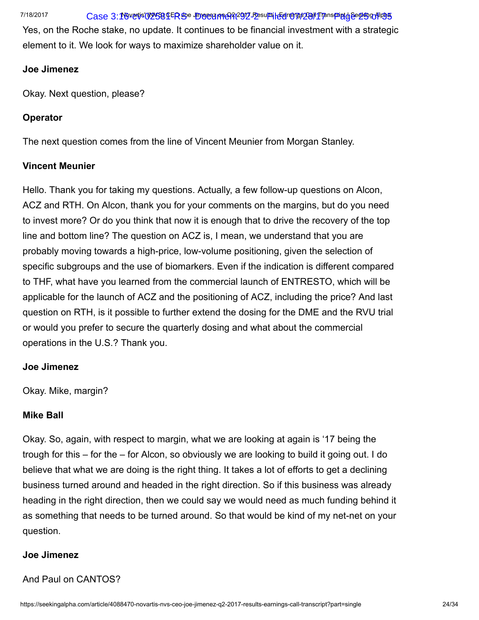# 7/18/2017 Case 3:16-vertis' (NYS8) LER SO Umergame At 2912 Fesults | Eenropas 28/11 Transpaigt of See Stranspaigt | Alpha

Yes, on the Roche stake, no update. It continues to be financial investment with a strategic element to it. We look for ways to maximize shareholder value on it.

# Joe Jimenez

Okay. Next question, please?

# **Operator**

The next question comes from the line of Vincent Meunier from Morgan Stanley.

# Vincent Meunier

Hello. Thank you for taking my questions. Actually, a few follow-up questions on Alcon, ACZ and RTH. On Alcon, thank you for your comments on the margins, but do you need to invest more? Or do you think that now it is enough that to drive the recovery of the top line and bottom line? The question on ACZ is, I mean, we understand that you are probably moving towards a high-price, low-volume positioning, given the selection of specific subgroups and the use of biomarkers. Even if the indication is different compared to THF, what have you learned from the commercial launch of ENTRESTO, which will be applicable for the launch of ACZ and the positioning of ACZ, including the price? And last question on RTH, is it possible to further extend the dosing for the DME and the RVU trial or would you prefer to secure the quarterly dosing and what about the commercial operations in the U.S.? Thank you.

# Joe Jimenez

Okay. Mike, margin?

# Mike Ball

Okay. So, again, with respect to margin, what we are looking at again is '17 being the trough for this – for the – for Alcon, so obviously we are looking to build it going out. I do believe that what we are doing is the right thing. It takes a lot of efforts to get a declining business turned around and headed in the right direction. So if this business was already heading in the right direction, then we could say we would need as much funding behind it as something that needs to be turned around. So that would be kind of my net-net on your question.

# Joe Jimenez

# And Paul on CANTOS?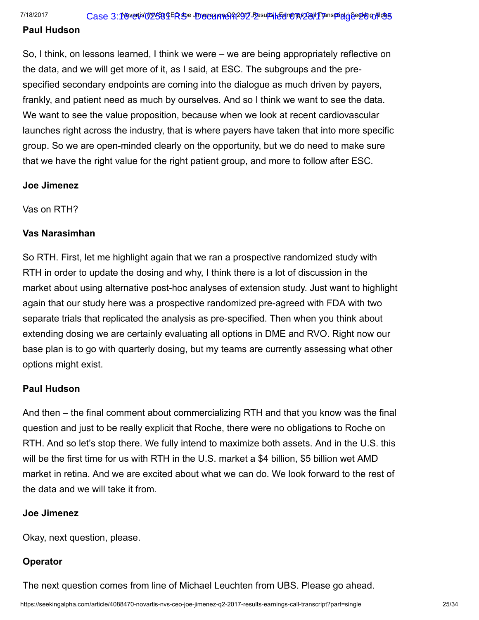#### Paul Hudson

So, I think, on lessons learned, I think we were – we are being appropriately reflective on the data, and we will get more of it, as I said, at ESC. The subgroups and the prespecified secondary endpoints are coming into the dialogue as much driven by payers, frankly, and patient need as much by ourselves. And so I think we want to see the data. We want to see the value proposition, because when we look at recent cardiovascular launches right across the industry, that is where payers have taken that into more specific group. So we are open-minded clearly on the opportunity, but we do need to make sure that we have the right value for the right patient group, and more to follow after ESC.

#### Joe Jimenez

Vas on RTH?

# Vas Narasimhan

So RTH. First, let me highlight again that we ran a prospective randomized study with RTH in order to update the dosing and why, I think there is a lot of discussion in the market about using alternative post-hoc analyses of extension study. Just want to highlight again that our study here was a prospective randomized pre-agreed with FDA with two separate trials that replicated the analysis as pre-specified. Then when you think about extending dosing we are certainly evaluating all options in DME and RVO. Right now our base plan is to go with quarterly dosing, but my teams are currently assessing what other options might exist.

# Paul Hudson

And then – the final comment about commercializing RTH and that you know was the final question and just to be really explicit that Roche, there were no obligations to Roche on RTH. And so let's stop there. We fully intend to maximize both assets. And in the U.S. this will be the first time for us with RTH in the U.S. market a \$4 billion, \$5 billion wet AMD market in retina. And we are excited about what we can do. We look forward to the rest of the data and we will take it from.

# Joe Jimenez

Okay, next question, please.

# **Operator**

The next question comes from line of Michael Leuchten from UBS. Please go ahead.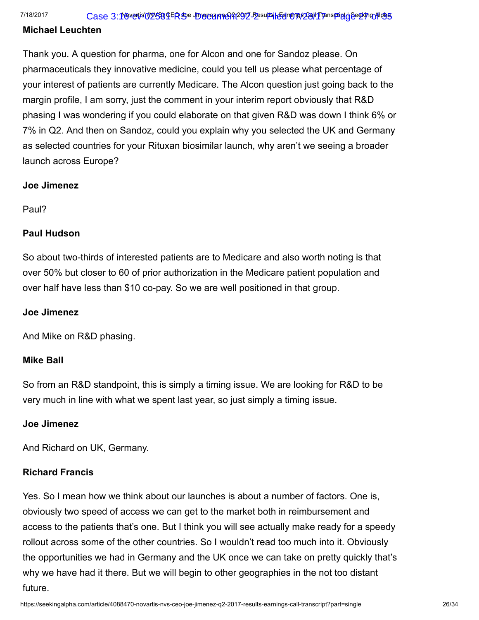7/18/2017 Case 3:16-vertis' (NYS8) LER SO Umergame At 2912 Fesults | Egromant 2891 Transport | Geromant 98

# Michael Leuchten

Thank you. A question for pharma, one for Alcon and one for Sandoz please. On pharmaceuticals they innovative medicine, could you tell us please what percentage of your interest of patients are currently Medicare. The Alcon question just going back to the margin profile, I am sorry, just the comment in your interim report obviously that R&D phasing I was wondering if you could elaborate on that given R&D was down I think 6% or 7% in Q2. And then on Sandoz, could you explain why you selected the UK and Germany as selected countries for your Rituxan biosimilar launch, why aren't we seeing a broader launch across Europe?

# Joe Jimenez

Paul?

# Paul Hudson

So about two-thirds of interested patients are to Medicare and also worth noting is that over 50% but closer to 60 of prior authorization in the Medicare patient population and over half have less than \$10 co-pay. So we are well positioned in that group.

# Joe Jimenez

And Mike on R&D phasing.

# Mike Ball

So from an R&D standpoint, this is simply a timing issue. We are looking for R&D to be very much in line with what we spent last year, so just simply a timing issue.

# Joe Jimenez

And Richard on UK, Germany.

# Richard Francis

Yes. So I mean how we think about our launches is about a number of factors. One is, obviously two speed of access we can get to the market both in reimbursement and access to the patients that's one. But I think you will see actually make ready for a speedy rollout across some of the other countries. So I wouldn't read too much into it. Obviously the opportunities we had in Germany and the UK once we can take on pretty quickly that's why we have had it there. But we will begin to other geographies in the not too distant future.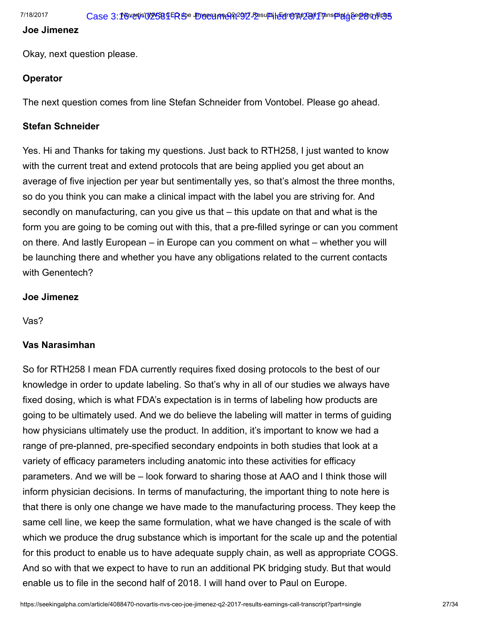#### Joe Jimenez

Okay, next question please.

# **Operator**

The next question comes from line Stefan Schneider from Vontobel. Please go ahead.

# Stefan Schneider

Yes. Hi and Thanks for taking my questions. Just back to RTH258, I just wanted to know with the current treat and extend protocols that are being applied you get about an average of five injection per year but sentimentally yes, so that's almost the three months, so do you think you can make a clinical impact with the label you are striving for. And secondly on manufacturing, can you give us that – this update on that and what is the form you are going to be coming out with this, that a pre-filled syringe or can you comment on there. And lastly European – in Europe can you comment on what – whether you will be launching there and whether you have any obligations related to the current contacts with Genentech?

# Joe Jimenez

Vas?

# Vas Narasimhan

So for RTH258 I mean FDA currently requires fixed dosing protocols to the best of our knowledge in order to update labeling. So that's why in all of our studies we always have fixed dosing, which is what FDA's expectation is in terms of labeling how products are going to be ultimately used. And we do believe the labeling will matter in terms of guiding how physicians ultimately use the product. In addition, it's important to know we had a range of pre-planned, pre-specified secondary endpoints in both studies that look at a variety of efficacy parameters including anatomic into these activities for efficacy parameters. And we will be – look forward to sharing those at AAO and I think those will inform physician decisions. In terms of manufacturing, the important thing to note here is that there is only one change we have made to the manufacturing process. They keep the same cell line, we keep the same formulation, what we have changed is the scale of with which we produce the drug substance which is important for the scale up and the potential for this product to enable us to have adequate supply chain, as well as appropriate COGS. And so with that we expect to have to run an additional PK bridging study. But that would enable us to file in the second half of 2018. I will hand over to Paul on Europe.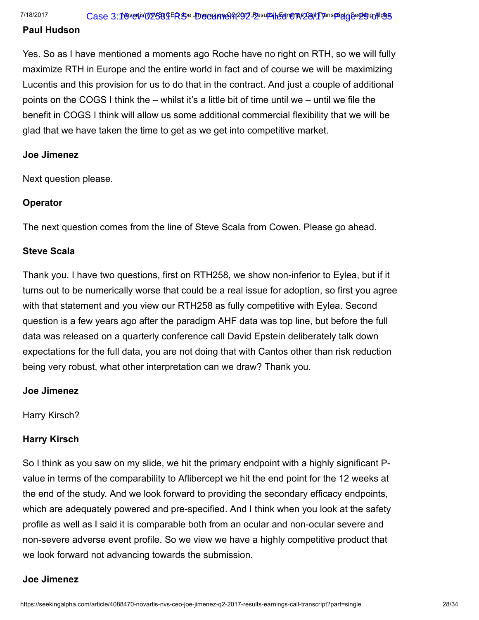#### Paul Hudson

Yes. So as I have mentioned a moments ago Roche have no right on RTH, so we will fully maximize RTH in Europe and the entire world in fact and of course we will be maximizing Lucentis and this provision for us to do that in the contract. And just a couple of additional points on the COGS I think the – whilst it's a little bit of time until we – until we file the benefit in COGS I think will allow us some additional commercial flexibility that we will be glad that we have taken the time to get as we get into competitive market.

#### Joe Jimenez

Next question please.

#### **Operator**

The next question comes from the line of Steve Scala from Cowen. Please go ahead.

#### Steve Scala

Thank you. I have two questions, first on RTH258, we show non-inferior to Eylea, but if it turns out to be numerically worse that could be a real issue for adoption, so first you agree with that statement and you view our RTH258 as fully competitive with Eylea. Second question is a few years ago after the paradigm AHF data was top line, but before the full data was released on a quarterly conference call David Epstein deliberately talk down expectations for the full data, you are not doing that with Cantos other than risk reduction being very robust, what other interpretation can we draw? Thank you.

#### Joe Jimenez

Harry Kirsch?

#### Harry Kirsch

So I think as you saw on my slide, we hit the primary endpoint with a highly significant Pvalue in terms of the comparability to Aflibercept we hit the end point for the 12 weeks at the end of the study. And we look forward to providing the secondary efficacy endpoints, which are adequately powered and pre-specified. And I think when you look at the safety profile as well as I said it is comparable both from an ocular and non-ocular severe and non-severe adverse event profile. So we view we have a highly competitive product that we look forward not advancing towards the submission.

#### Joe Jimenez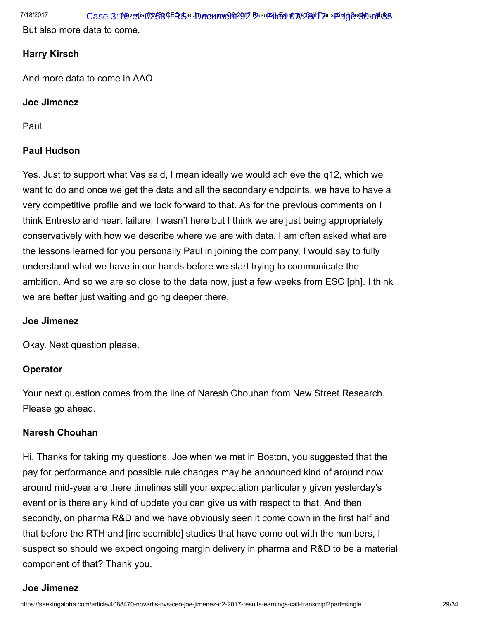But also more data to come.

# Harry Kirsch

And more data to come in AAO.

# Joe Jimenez

Paul.

# Paul Hudson

Yes. Just to support what Vas said, I mean ideally we would achieve the q12, which we want to do and once we get the data and all the secondary endpoints, we have to have a very competitive profile and we look forward to that. As for the previous comments on I think Entresto and heart failure, I wasn't here but I think we are just being appropriately conservatively with how we describe where we are with data. I am often asked what are the lessons learned for you personally Paul in joining the company, I would say to fully understand what we have in our hands before we start trying to communicate the ambition. And so we are so close to the data now, just a few weeks from ESC [ph]. I think we are better just waiting and going deeper there.

# Joe Jimenez

Okay. Next question please.

# **Operator**

Your next question comes from the line of Naresh Chouhan from New Street Research. Please go ahead.

# Naresh Chouhan

Hi. Thanks for taking my questions. Joe when we met in Boston, you suggested that the pay for performance and possible rule changes may be announced kind of around now around mid-year are there timelines still your expectation particularly given yesterday's event or is there any kind of update you can give us with respect to that. And then secondly, on pharma R&D and we have obviously seen it come down in the first half and that before the RTH and [indiscernible] studies that have come out with the numbers, I suspect so should we expect ongoing margin delivery in pharma and R&D to be a material component of that? Thank you.

# Joe Jimenez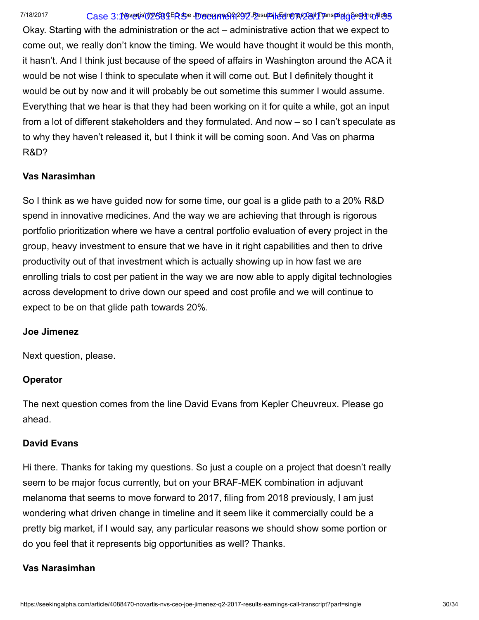# 7/18/2017 Case 3:16-vertis' (NYS8) LER SO Umorez meGAt291Z Fesults | Eenropps Z81 IT panspoint of Besther Alpha

Okay. Starting with the administration or the act – administrative action that we expect to come out, we really don't know the timing. We would have thought it would be this month, it hasn't. And I think just because of the speed of affairs in Washington around the ACA it would be not wise I think to speculate when it will come out. But I definitely thought it would be out by now and it will probably be out sometime this summer I would assume. Everything that we hear is that they had been working on it for quite a while, got an input from a lot of different stakeholders and they formulated. And now – so I can't speculate as to why they haven't released it, but I think it will be coming soon. And Vas on pharma R&D?

# Vas Narasimhan

So I think as we have guided now for some time, our goal is a glide path to a 20% R&D spend in innovative medicines. And the way we are achieving that through is rigorous portfolio prioritization where we have a central portfolio evaluation of every project in the group, heavy investment to ensure that we have in it right capabilities and then to drive productivity out of that investment which is actually showing up in how fast we are enrolling trials to cost per patient in the way we are now able to apply digital technologies across development to drive down our speed and cost profile and we will continue to expect to be on that glide path towards 20%.

#### Joe Jimenez

Next question, please.

# **Operator**

The next question comes from the line David Evans from Kepler Cheuvreux. Please go ahead.

# David Evans

Hi there. Thanks for taking my questions. So just a couple on a project that doesn't really seem to be major focus currently, but on your BRAF-MEK combination in adjuvant melanoma that seems to move forward to 2017, filing from 2018 previously, I am just wondering what driven change in timeline and it seem like it commercially could be a pretty big market, if I would say, any particular reasons we should show some portion or do you feel that it represents big opportunities as well? Thanks.

# Vas Narasimhan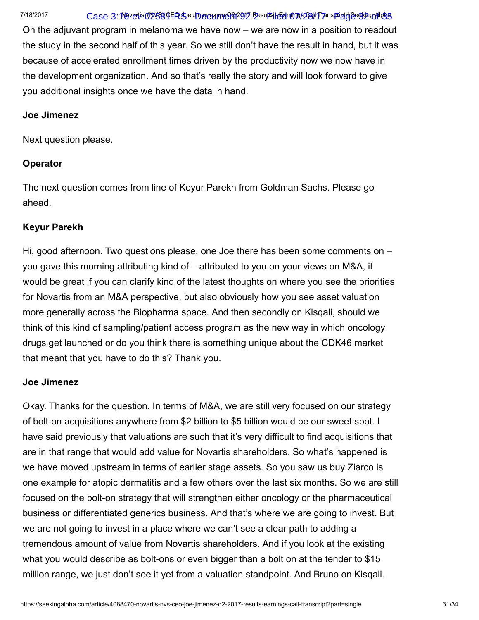# 7/18/2017 Case 3:16-vertis' (NYS8) LER SO Umorez meGRt291Z Fesults | Eenropps Z811 Transparty begy ut 198

On the adjuvant program in melanoma we have now – we are now in a position to readout the study in the second half of this year. So we still don't have the result in hand, but it was because of accelerated enrollment times driven by the productivity now we now have in the development organization. And so that's really the story and will look forward to give you additional insights once we have the data in hand.

#### Joe Jimenez

Next question please.

# **Operator**

The next question comes from line of Keyur Parekh from Goldman Sachs. Please go ahead.

# Keyur Parekh

Hi, good afternoon. Two questions please, one Joe there has been some comments on – you gave this morning attributing kind of – attributed to you on your views on M&A, it would be great if you can clarify kind of the latest thoughts on where you see the priorities for Novartis from an M&A perspective, but also obviously how you see asset valuation more generally across the Biopharma space. And then secondly on Kisqali, should we think of this kind of sampling/patient access program as the new way in which oncology drugs get launched or do you think there is something unique about the CDK46 market that meant that you have to do this? Thank you.

# Joe Jimenez

Okay. Thanks for the question. In terms of M&A, we are still very focused on our strategy of bolt-on acquisitions anywhere from \$2 billion to \$5 billion would be our sweet spot. I have said previously that valuations are such that it's very difficult to find acquisitions that are in that range that would add value for Novartis shareholders. So what's happened is we have moved upstream in terms of earlier stage assets. So you saw us buy Ziarco is one example for atopic dermatitis and a few others over the last six months. So we are still focused on the bolt-on strategy that will strengthen either oncology or the pharmaceutical business or differentiated generics business. And that's where we are going to invest. But we are not going to invest in a place where we can't see a clear path to adding a tremendous amount of value from Novartis shareholders. And if you look at the existing what you would describe as bolt-ons or even bigger than a bolt on at the tender to \$15 million range, we just don't see it yet from a valuation standpoint. And Bruno on Kisqali.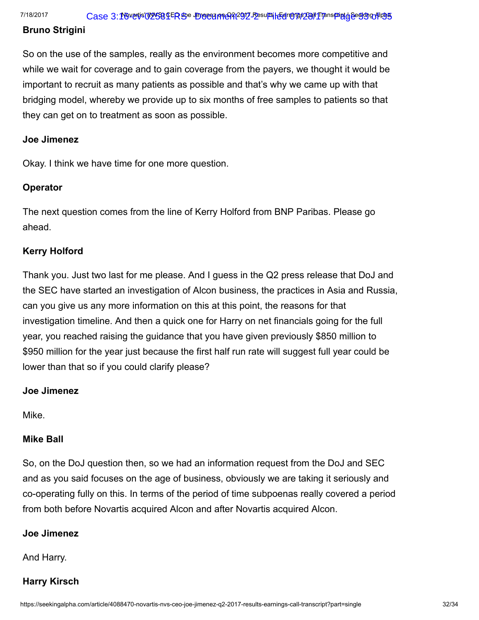#### Bruno Strigini

So on the use of the samples, really as the environment becomes more competitive and while we wait for coverage and to gain coverage from the payers, we thought it would be important to recruit as many patients as possible and that's why we came up with that bridging model, whereby we provide up to six months of free samples to patients so that they can get on to treatment as soon as possible.

# Joe Jimenez

Okay. I think we have time for one more question.

# **Operator**

The next question comes from the line of Kerry Holford from BNP Paribas. Please go ahead.

# Kerry Holford

Thank you. Just two last for me please. And I guess in the Q2 press release that DoJ and the SEC have started an investigation of Alcon business, the practices in Asia and Russia, can you give us any more information on this at this point, the reasons for that investigation timeline. And then a quick one for Harry on net financials going for the full year, you reached raising the guidance that you have given previously \$850 million to \$950 million for the year just because the first half run rate will suggest full year could be lower than that so if you could clarify please?

# Joe Jimenez

Mike.

# Mike Ball

So, on the DoJ question then, so we had an information request from the DoJ and SEC and as you said focuses on the age of business, obviously we are taking it seriously and co-operating fully on this. In terms of the period of time subpoenas really covered a period from both before Novartis acquired Alcon and after Novartis acquired Alcon.

# Joe Jimenez

And Harry.

# Harry Kirsch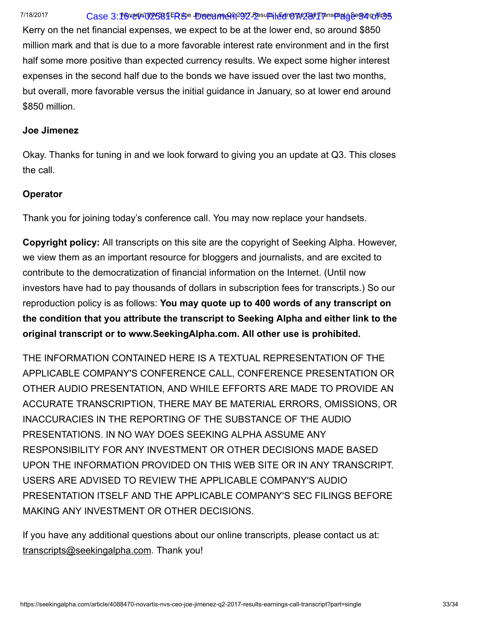# 7/18/2017 Case 3:16-vertis' (NYS8) LER SO Umergame 92-2 Eesults | EelroMp\$29/I Transport by GeeKing Alpha

Kerry on the net financial expenses, we expect to be at the lower end, so around \$850 million mark and that is due to a more favorable interest rate environment and in the first half some more positive than expected currency results. We expect some higher interest expenses in the second half due to the bonds we have issued over the last two months, but overall, more favorable versus the initial guidance in January, so at lower end around \$850 million.

#### Joe Jimenez

Okay. Thanks for tuning in and we look forward to giving you an update at Q3. This closes the call.

# **Operator**

Thank you for joining today's conference call. You may now replace your handsets.

Copyright policy: All transcripts on this site are the copyright of Seeking Alpha. However, we view them as an important resource for bloggers and journalists, and are excited to contribute to the democratization of financial information on the Internet. (Until now investors have had to pay thousands of dollars in subscription fees for transcripts.) So our reproduction policy is as follows: You may quote up to 400 words of any transcript on the condition that you attribute the transcript to Seeking Alpha and either link to the original transcript or to www.SeekingAlpha.com. All other use is prohibited.

THE INFORMATION CONTAINED HERE IS A TEXTUAL REPRESENTATION OF THE APPLICABLE COMPANY'S CONFERENCE CALL, CONFERENCE PRESENTATION OR OTHER AUDIO PRESENTATION, AND WHILE EFFORTS ARE MADE TO PROVIDE AN ACCURATE TRANSCRIPTION, THERE MAY BE MATERIAL ERRORS, OMISSIONS, OR INACCURACIES IN THE REPORTING OF THE SUBSTANCE OF THE AUDIO PRESENTATIONS. IN NO WAY DOES SEEKING ALPHA ASSUME ANY RESPONSIBILITY FOR ANY INVESTMENT OR OTHER DECISIONS MADE BASED UPON THE INFORMATION PROVIDED ON THIS WEB SITE OR IN ANY TRANSCRIPT. USERS ARE ADVISED TO REVIEW THE APPLICABLE COMPANY'S AUDIO PRESENTATION ITSELF AND THE APPLICABLE COMPANY'S SEC FILINGS BEFORE MAKING ANY INVESTMENT OR OTHER DECISIONS.

If you have any additional questions about our online transcripts, please contact us at: [transcripts@seekingalpha.com](mailto:transcripts@seekingalpha.com). Thank you!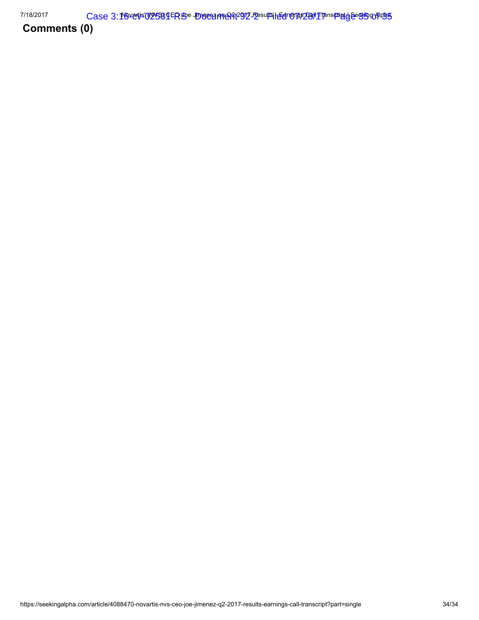Comments (0)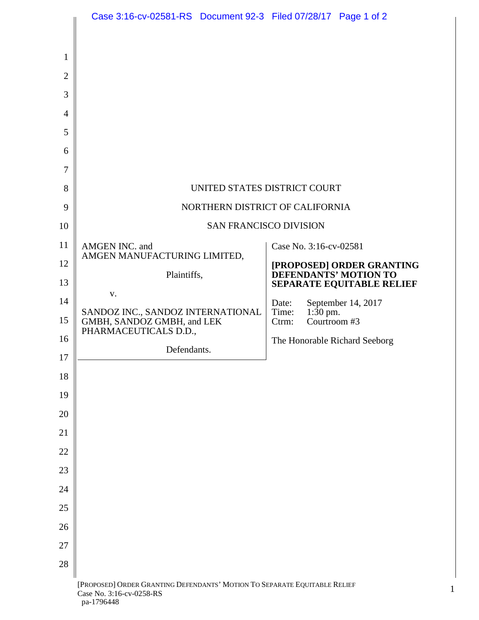|                     | Case 3:16-cv-02581-RS  Document 92-3  Filed 07/28/17  Page 1 of 2                                                   |                                                           |
|---------------------|---------------------------------------------------------------------------------------------------------------------|-----------------------------------------------------------|
|                     |                                                                                                                     |                                                           |
| $\mathbf{1}$        |                                                                                                                     |                                                           |
| $\overline{2}$<br>3 |                                                                                                                     |                                                           |
| 4                   |                                                                                                                     |                                                           |
| 5                   |                                                                                                                     |                                                           |
| 6                   |                                                                                                                     |                                                           |
| 7                   |                                                                                                                     |                                                           |
| 8                   | UNITED STATES DISTRICT COURT                                                                                        |                                                           |
| 9                   | NORTHERN DISTRICT OF CALIFORNIA                                                                                     |                                                           |
| 10                  | SAN FRANCISCO DIVISION                                                                                              |                                                           |
| 11                  | AMGEN INC. and                                                                                                      | Case No. 3:16-cv-02581                                    |
| 12                  | AMGEN MANUFACTURING LIMITED,                                                                                        | [PROPOSED] ORDER GRANTING                                 |
| 13                  | Plaintiffs,                                                                                                         | <b>DEFENDANTS' MOTION TO</b><br>SEPARATE EQUITABLE RELIEF |
| 14                  | V.<br>SANDOZ INC., SANDOZ INTERNATIONAL                                                                             | September 14, 2017<br>Date:<br>$1:30$ pm.<br>Time:        |
| 15                  | GMBH, SANDOZ GMBH, and LEK<br>PHARMACEUTICALS D.D.,                                                                 | Courtroom #3<br>Ctrm:                                     |
| 16                  | Defendants.                                                                                                         | The Honorable Richard Seeborg                             |
| 17                  |                                                                                                                     |                                                           |
| 18                  |                                                                                                                     |                                                           |
| 19                  |                                                                                                                     |                                                           |
| 20                  |                                                                                                                     |                                                           |
| 21                  |                                                                                                                     |                                                           |
| 22<br>23            |                                                                                                                     |                                                           |
| 24                  |                                                                                                                     |                                                           |
| 25                  |                                                                                                                     |                                                           |
| 26                  |                                                                                                                     |                                                           |
| 27                  |                                                                                                                     |                                                           |
| 28                  |                                                                                                                     |                                                           |
|                     | [PROPOSED] ORDER GRANTING DEFENDANTS' MOTION TO SEPARATE EQUITABLE RELIEF<br>Case No. 3:16-cv-0258-RS<br>pa-1796448 |                                                           |